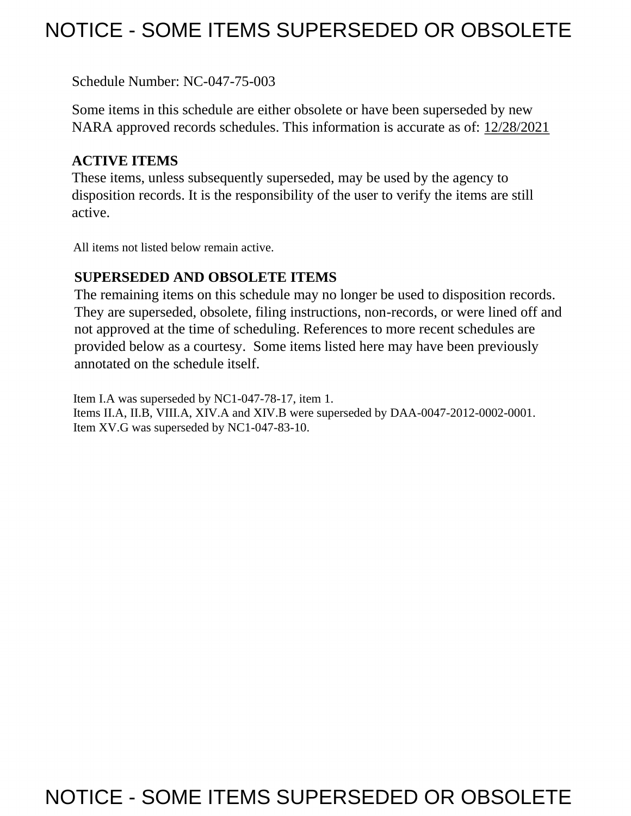## NOTICE - SOME ITEMS SUPERSEDED OR OBSOLETE

Schedule Number: NC-047-75-003

 Some items in this schedule are either obsolete or have been superseded by new NARA approved records schedules. This information is accurate as of: 12/28/2021

#### **ACTIVE ITEMS**

 These items, unless subsequently superseded, may be used by the agency to disposition records. It is the responsibility of the user to verify the items are still active.

All items not listed below remain active.

#### **SUPERSEDED AND OBSOLETE ITEMS**

 The remaining items on this schedule may no longer be used to disposition records. not approved at the time of scheduling. References to more recent schedules are provided below as a courtesy. Some items listed here may have been previously They are superseded, obsolete, filing instructions, non-records, or were lined off and annotated on the schedule itself.

Item I.A was superseded by NC1-047-78-17, item 1. Items II.A, II.B, VIII.A, XIV.A and XIV.B were superseded by DAA-0047-2012-0002-0001. Item XV.G was superseded by NC1-047-83-10.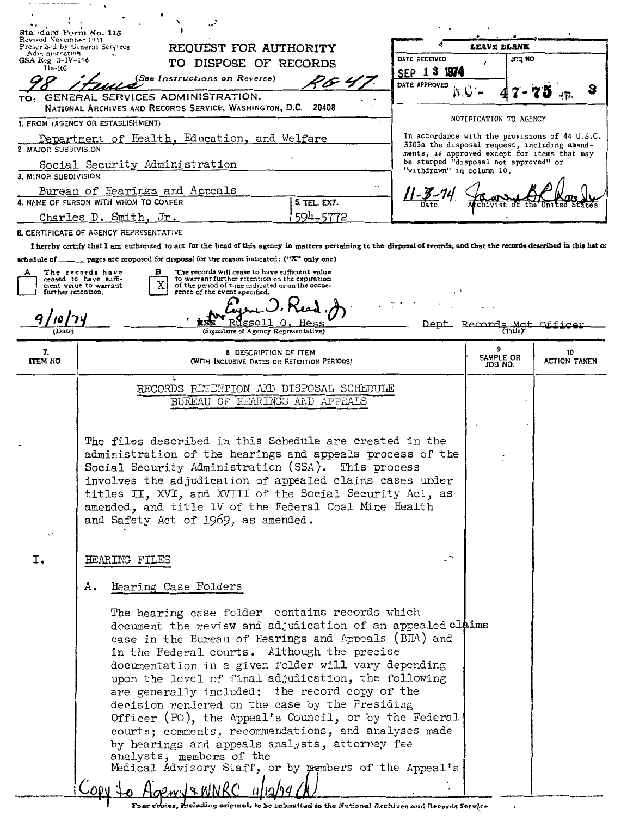| Adm nist-ation<br><b>DATE RECEIVED</b><br><b>KLJ NO</b><br>$GSA$ $Reg$ $3-IV-1$ <sup><math>06</math></sup><br>TO DISPOSE OF RECORDS<br>$115 - 103$<br>SEP 1 3 1974<br>(See Instructions on Reverse)<br>64 F<br>DATE APPROVED<br>GENERAL SERVICES ADMINISTRATION,<br>NATIONAL ARCHIVES AND RECORDS SERVICE, WASHINGTON, D.C. 20408<br>NOTIFICATION TO AGENCY<br>1. FROM (AGENCY OR ESTABLISHMENT)<br>In accordance with the provisions of 44 U.S.C.<br>Department of Health, Education, and Welfare<br>3303a the disposal request, including amend-<br><b>2 MAJOR SUBDIVISION</b><br>ments, is approved except for items that may<br>be stamped "disposal not approved" or<br>Social Security Administration<br>"withdrawn" in column 10.<br>3. MINOR SUBDIVISION<br>Bureau of Hearings and Appeals<br>4. NAME OF PERSON WITH WHOM TO CONFER<br>5. TEL. EXT.<br>594-5772<br>Charles D. Smith, Jr.<br><b>6. CERTIFICATE OF AGENCY REPRESENTATIVE</b><br>I hereby certify that I am authorized to act for the head of this agency in matters pertaining to the disposal of records, and that the records described in this hat or<br>schedule of ________ pages are proposed for disposal for the reason indicated: ("X" only one)<br>The records will cease to have sufficient value<br>The records have<br>в<br>А<br><b>to warrant further retention on the expiration</b><br>ceased to have suffi-<br>Х<br>of the period of time indicated or on the occur-<br>cient value to warrant<br>further retention.<br>rence of the event specified.<br>Dept<br>Records Mat<br>Offical<br>(Signature of Agency Representative)<br>(Tutle)<br>7.<br>8 DESCRIPTION OF ITEM<br>10<br>SAMPLE OR<br><b>ITEM NO</b><br><b>ACTION TAKEN</b><br>(WITH INCLUSIVE DATES OR RETENTION PERIODS)<br>JOB NO.<br>ï<br>RECORDS RETENTION AND DISPOSAL SCHEDULE<br>BUREAU OF HEARINGS AND APPEALS<br>The files described in this Schedule are created in the<br>administration of the hearings and appeals process of the<br>Social Security Administration (SSA). This process<br>involves the adjudication of appealed claims cases under<br>titles II, XVI, and XVIII of the Social Security Act, as<br>amended, and title IV of the Federal Coal Mine Health<br>and Safety Act of 1969, as amended.<br>v,<br>Ι.<br>HEARING FILES<br>Hearing Case Folders<br>Α.<br>The hearing case folder contains records which<br>document the review and adjudication of an appealed claims<br>case in the Bureau of Hearings and Appeals (BHA) and<br>in the Federal courts. Although the precise<br>documentation in a given folder will vary depending<br>upon the level of final adjudication, the following<br>are generally included: the record copy of the<br>decision rendered on the case by the Presiding<br>Officer (PO), the Appeal's Council, or by the Federal<br>courts; comments, recommendations, and analyses made<br>by hearings and appeals analysts, attorney fee<br>analysts, members of the<br>Medical Advisory Staff, or by members of the Appeal's | Foar cepies, ibcluding original, to be rebruited to the National Acchives and Recards Service | Sta durd Ferm No. 115<br>Revised November 1951 | Prescribed by General Services<br>REQUEST FOR AUTHORITY |  | <b>LEAVE BLANK</b> |  |
|--------------------------------------------------------------------------------------------------------------------------------------------------------------------------------------------------------------------------------------------------------------------------------------------------------------------------------------------------------------------------------------------------------------------------------------------------------------------------------------------------------------------------------------------------------------------------------------------------------------------------------------------------------------------------------------------------------------------------------------------------------------------------------------------------------------------------------------------------------------------------------------------------------------------------------------------------------------------------------------------------------------------------------------------------------------------------------------------------------------------------------------------------------------------------------------------------------------------------------------------------------------------------------------------------------------------------------------------------------------------------------------------------------------------------------------------------------------------------------------------------------------------------------------------------------------------------------------------------------------------------------------------------------------------------------------------------------------------------------------------------------------------------------------------------------------------------------------------------------------------------------------------------------------------------------------------------------------------------------------------------------------------------------------------------------------------------------------------------------------------------------------------------------------------------------------------------------------------------------------------------------------------------------------------------------------------------------------------------------------------------------------------------------------------------------------------------------------------------------------------------------------------------------------------------------------------------------------------------------------------------------------------------------------------------------------------------------------------------------------------------------------------------------------------------------------------------------------------------------------------------------------------------------------------------------------------------------------------------------------------------------------------------------------------|-----------------------------------------------------------------------------------------------|------------------------------------------------|---------------------------------------------------------|--|--------------------|--|
|                                                                                                                                                                                                                                                                                                                                                                                                                                                                                                                                                                                                                                                                                                                                                                                                                                                                                                                                                                                                                                                                                                                                                                                                                                                                                                                                                                                                                                                                                                                                                                                                                                                                                                                                                                                                                                                                                                                                                                                                                                                                                                                                                                                                                                                                                                                                                                                                                                                                                                                                                                                                                                                                                                                                                                                                                                                                                                                                                                                                                                            |                                                                                               |                                                |                                                         |  |                    |  |
|                                                                                                                                                                                                                                                                                                                                                                                                                                                                                                                                                                                                                                                                                                                                                                                                                                                                                                                                                                                                                                                                                                                                                                                                                                                                                                                                                                                                                                                                                                                                                                                                                                                                                                                                                                                                                                                                                                                                                                                                                                                                                                                                                                                                                                                                                                                                                                                                                                                                                                                                                                                                                                                                                                                                                                                                                                                                                                                                                                                                                                            |                                                                                               |                                                |                                                         |  |                    |  |
|                                                                                                                                                                                                                                                                                                                                                                                                                                                                                                                                                                                                                                                                                                                                                                                                                                                                                                                                                                                                                                                                                                                                                                                                                                                                                                                                                                                                                                                                                                                                                                                                                                                                                                                                                                                                                                                                                                                                                                                                                                                                                                                                                                                                                                                                                                                                                                                                                                                                                                                                                                                                                                                                                                                                                                                                                                                                                                                                                                                                                                            |                                                                                               | TO:                                            |                                                         |  |                    |  |
|                                                                                                                                                                                                                                                                                                                                                                                                                                                                                                                                                                                                                                                                                                                                                                                                                                                                                                                                                                                                                                                                                                                                                                                                                                                                                                                                                                                                                                                                                                                                                                                                                                                                                                                                                                                                                                                                                                                                                                                                                                                                                                                                                                                                                                                                                                                                                                                                                                                                                                                                                                                                                                                                                                                                                                                                                                                                                                                                                                                                                                            |                                                                                               |                                                |                                                         |  |                    |  |
|                                                                                                                                                                                                                                                                                                                                                                                                                                                                                                                                                                                                                                                                                                                                                                                                                                                                                                                                                                                                                                                                                                                                                                                                                                                                                                                                                                                                                                                                                                                                                                                                                                                                                                                                                                                                                                                                                                                                                                                                                                                                                                                                                                                                                                                                                                                                                                                                                                                                                                                                                                                                                                                                                                                                                                                                                                                                                                                                                                                                                                            |                                                                                               |                                                |                                                         |  |                    |  |
|                                                                                                                                                                                                                                                                                                                                                                                                                                                                                                                                                                                                                                                                                                                                                                                                                                                                                                                                                                                                                                                                                                                                                                                                                                                                                                                                                                                                                                                                                                                                                                                                                                                                                                                                                                                                                                                                                                                                                                                                                                                                                                                                                                                                                                                                                                                                                                                                                                                                                                                                                                                                                                                                                                                                                                                                                                                                                                                                                                                                                                            |                                                                                               |                                                |                                                         |  |                    |  |
|                                                                                                                                                                                                                                                                                                                                                                                                                                                                                                                                                                                                                                                                                                                                                                                                                                                                                                                                                                                                                                                                                                                                                                                                                                                                                                                                                                                                                                                                                                                                                                                                                                                                                                                                                                                                                                                                                                                                                                                                                                                                                                                                                                                                                                                                                                                                                                                                                                                                                                                                                                                                                                                                                                                                                                                                                                                                                                                                                                                                                                            |                                                                                               |                                                |                                                         |  |                    |  |
|                                                                                                                                                                                                                                                                                                                                                                                                                                                                                                                                                                                                                                                                                                                                                                                                                                                                                                                                                                                                                                                                                                                                                                                                                                                                                                                                                                                                                                                                                                                                                                                                                                                                                                                                                                                                                                                                                                                                                                                                                                                                                                                                                                                                                                                                                                                                                                                                                                                                                                                                                                                                                                                                                                                                                                                                                                                                                                                                                                                                                                            |                                                                                               |                                                |                                                         |  |                    |  |
|                                                                                                                                                                                                                                                                                                                                                                                                                                                                                                                                                                                                                                                                                                                                                                                                                                                                                                                                                                                                                                                                                                                                                                                                                                                                                                                                                                                                                                                                                                                                                                                                                                                                                                                                                                                                                                                                                                                                                                                                                                                                                                                                                                                                                                                                                                                                                                                                                                                                                                                                                                                                                                                                                                                                                                                                                                                                                                                                                                                                                                            |                                                                                               |                                                |                                                         |  |                    |  |
|                                                                                                                                                                                                                                                                                                                                                                                                                                                                                                                                                                                                                                                                                                                                                                                                                                                                                                                                                                                                                                                                                                                                                                                                                                                                                                                                                                                                                                                                                                                                                                                                                                                                                                                                                                                                                                                                                                                                                                                                                                                                                                                                                                                                                                                                                                                                                                                                                                                                                                                                                                                                                                                                                                                                                                                                                                                                                                                                                                                                                                            |                                                                                               |                                                |                                                         |  |                    |  |
|                                                                                                                                                                                                                                                                                                                                                                                                                                                                                                                                                                                                                                                                                                                                                                                                                                                                                                                                                                                                                                                                                                                                                                                                                                                                                                                                                                                                                                                                                                                                                                                                                                                                                                                                                                                                                                                                                                                                                                                                                                                                                                                                                                                                                                                                                                                                                                                                                                                                                                                                                                                                                                                                                                                                                                                                                                                                                                                                                                                                                                            |                                                                                               |                                                |                                                         |  |                    |  |
|                                                                                                                                                                                                                                                                                                                                                                                                                                                                                                                                                                                                                                                                                                                                                                                                                                                                                                                                                                                                                                                                                                                                                                                                                                                                                                                                                                                                                                                                                                                                                                                                                                                                                                                                                                                                                                                                                                                                                                                                                                                                                                                                                                                                                                                                                                                                                                                                                                                                                                                                                                                                                                                                                                                                                                                                                                                                                                                                                                                                                                            |                                                                                               |                                                |                                                         |  |                    |  |
|                                                                                                                                                                                                                                                                                                                                                                                                                                                                                                                                                                                                                                                                                                                                                                                                                                                                                                                                                                                                                                                                                                                                                                                                                                                                                                                                                                                                                                                                                                                                                                                                                                                                                                                                                                                                                                                                                                                                                                                                                                                                                                                                                                                                                                                                                                                                                                                                                                                                                                                                                                                                                                                                                                                                                                                                                                                                                                                                                                                                                                            |                                                                                               |                                                |                                                         |  |                    |  |
|                                                                                                                                                                                                                                                                                                                                                                                                                                                                                                                                                                                                                                                                                                                                                                                                                                                                                                                                                                                                                                                                                                                                                                                                                                                                                                                                                                                                                                                                                                                                                                                                                                                                                                                                                                                                                                                                                                                                                                                                                                                                                                                                                                                                                                                                                                                                                                                                                                                                                                                                                                                                                                                                                                                                                                                                                                                                                                                                                                                                                                            |                                                                                               |                                                |                                                         |  |                    |  |
|                                                                                                                                                                                                                                                                                                                                                                                                                                                                                                                                                                                                                                                                                                                                                                                                                                                                                                                                                                                                                                                                                                                                                                                                                                                                                                                                                                                                                                                                                                                                                                                                                                                                                                                                                                                                                                                                                                                                                                                                                                                                                                                                                                                                                                                                                                                                                                                                                                                                                                                                                                                                                                                                                                                                                                                                                                                                                                                                                                                                                                            |                                                                                               |                                                |                                                         |  |                    |  |
|                                                                                                                                                                                                                                                                                                                                                                                                                                                                                                                                                                                                                                                                                                                                                                                                                                                                                                                                                                                                                                                                                                                                                                                                                                                                                                                                                                                                                                                                                                                                                                                                                                                                                                                                                                                                                                                                                                                                                                                                                                                                                                                                                                                                                                                                                                                                                                                                                                                                                                                                                                                                                                                                                                                                                                                                                                                                                                                                                                                                                                            |                                                                                               |                                                |                                                         |  |                    |  |
|                                                                                                                                                                                                                                                                                                                                                                                                                                                                                                                                                                                                                                                                                                                                                                                                                                                                                                                                                                                                                                                                                                                                                                                                                                                                                                                                                                                                                                                                                                                                                                                                                                                                                                                                                                                                                                                                                                                                                                                                                                                                                                                                                                                                                                                                                                                                                                                                                                                                                                                                                                                                                                                                                                                                                                                                                                                                                                                                                                                                                                            |                                                                                               |                                                |                                                         |  |                    |  |
|                                                                                                                                                                                                                                                                                                                                                                                                                                                                                                                                                                                                                                                                                                                                                                                                                                                                                                                                                                                                                                                                                                                                                                                                                                                                                                                                                                                                                                                                                                                                                                                                                                                                                                                                                                                                                                                                                                                                                                                                                                                                                                                                                                                                                                                                                                                                                                                                                                                                                                                                                                                                                                                                                                                                                                                                                                                                                                                                                                                                                                            |                                                                                               |                                                |                                                         |  |                    |  |
|                                                                                                                                                                                                                                                                                                                                                                                                                                                                                                                                                                                                                                                                                                                                                                                                                                                                                                                                                                                                                                                                                                                                                                                                                                                                                                                                                                                                                                                                                                                                                                                                                                                                                                                                                                                                                                                                                                                                                                                                                                                                                                                                                                                                                                                                                                                                                                                                                                                                                                                                                                                                                                                                                                                                                                                                                                                                                                                                                                                                                                            |                                                                                               |                                                |                                                         |  |                    |  |
|                                                                                                                                                                                                                                                                                                                                                                                                                                                                                                                                                                                                                                                                                                                                                                                                                                                                                                                                                                                                                                                                                                                                                                                                                                                                                                                                                                                                                                                                                                                                                                                                                                                                                                                                                                                                                                                                                                                                                                                                                                                                                                                                                                                                                                                                                                                                                                                                                                                                                                                                                                                                                                                                                                                                                                                                                                                                                                                                                                                                                                            |                                                                                               |                                                |                                                         |  |                    |  |
|                                                                                                                                                                                                                                                                                                                                                                                                                                                                                                                                                                                                                                                                                                                                                                                                                                                                                                                                                                                                                                                                                                                                                                                                                                                                                                                                                                                                                                                                                                                                                                                                                                                                                                                                                                                                                                                                                                                                                                                                                                                                                                                                                                                                                                                                                                                                                                                                                                                                                                                                                                                                                                                                                                                                                                                                                                                                                                                                                                                                                                            |                                                                                               |                                                |                                                         |  |                    |  |
|                                                                                                                                                                                                                                                                                                                                                                                                                                                                                                                                                                                                                                                                                                                                                                                                                                                                                                                                                                                                                                                                                                                                                                                                                                                                                                                                                                                                                                                                                                                                                                                                                                                                                                                                                                                                                                                                                                                                                                                                                                                                                                                                                                                                                                                                                                                                                                                                                                                                                                                                                                                                                                                                                                                                                                                                                                                                                                                                                                                                                                            |                                                                                               |                                                |                                                         |  |                    |  |
|                                                                                                                                                                                                                                                                                                                                                                                                                                                                                                                                                                                                                                                                                                                                                                                                                                                                                                                                                                                                                                                                                                                                                                                                                                                                                                                                                                                                                                                                                                                                                                                                                                                                                                                                                                                                                                                                                                                                                                                                                                                                                                                                                                                                                                                                                                                                                                                                                                                                                                                                                                                                                                                                                                                                                                                                                                                                                                                                                                                                                                            |                                                                                               |                                                |                                                         |  |                    |  |
|                                                                                                                                                                                                                                                                                                                                                                                                                                                                                                                                                                                                                                                                                                                                                                                                                                                                                                                                                                                                                                                                                                                                                                                                                                                                                                                                                                                                                                                                                                                                                                                                                                                                                                                                                                                                                                                                                                                                                                                                                                                                                                                                                                                                                                                                                                                                                                                                                                                                                                                                                                                                                                                                                                                                                                                                                                                                                                                                                                                                                                            |                                                                                               |                                                |                                                         |  |                    |  |
|                                                                                                                                                                                                                                                                                                                                                                                                                                                                                                                                                                                                                                                                                                                                                                                                                                                                                                                                                                                                                                                                                                                                                                                                                                                                                                                                                                                                                                                                                                                                                                                                                                                                                                                                                                                                                                                                                                                                                                                                                                                                                                                                                                                                                                                                                                                                                                                                                                                                                                                                                                                                                                                                                                                                                                                                                                                                                                                                                                                                                                            |                                                                                               |                                                |                                                         |  |                    |  |
|                                                                                                                                                                                                                                                                                                                                                                                                                                                                                                                                                                                                                                                                                                                                                                                                                                                                                                                                                                                                                                                                                                                                                                                                                                                                                                                                                                                                                                                                                                                                                                                                                                                                                                                                                                                                                                                                                                                                                                                                                                                                                                                                                                                                                                                                                                                                                                                                                                                                                                                                                                                                                                                                                                                                                                                                                                                                                                                                                                                                                                            |                                                                                               |                                                |                                                         |  |                    |  |
|                                                                                                                                                                                                                                                                                                                                                                                                                                                                                                                                                                                                                                                                                                                                                                                                                                                                                                                                                                                                                                                                                                                                                                                                                                                                                                                                                                                                                                                                                                                                                                                                                                                                                                                                                                                                                                                                                                                                                                                                                                                                                                                                                                                                                                                                                                                                                                                                                                                                                                                                                                                                                                                                                                                                                                                                                                                                                                                                                                                                                                            |                                                                                               |                                                |                                                         |  |                    |  |
|                                                                                                                                                                                                                                                                                                                                                                                                                                                                                                                                                                                                                                                                                                                                                                                                                                                                                                                                                                                                                                                                                                                                                                                                                                                                                                                                                                                                                                                                                                                                                                                                                                                                                                                                                                                                                                                                                                                                                                                                                                                                                                                                                                                                                                                                                                                                                                                                                                                                                                                                                                                                                                                                                                                                                                                                                                                                                                                                                                                                                                            |                                                                                               |                                                |                                                         |  |                    |  |
|                                                                                                                                                                                                                                                                                                                                                                                                                                                                                                                                                                                                                                                                                                                                                                                                                                                                                                                                                                                                                                                                                                                                                                                                                                                                                                                                                                                                                                                                                                                                                                                                                                                                                                                                                                                                                                                                                                                                                                                                                                                                                                                                                                                                                                                                                                                                                                                                                                                                                                                                                                                                                                                                                                                                                                                                                                                                                                                                                                                                                                            |                                                                                               |                                                |                                                         |  |                    |  |
|                                                                                                                                                                                                                                                                                                                                                                                                                                                                                                                                                                                                                                                                                                                                                                                                                                                                                                                                                                                                                                                                                                                                                                                                                                                                                                                                                                                                                                                                                                                                                                                                                                                                                                                                                                                                                                                                                                                                                                                                                                                                                                                                                                                                                                                                                                                                                                                                                                                                                                                                                                                                                                                                                                                                                                                                                                                                                                                                                                                                                                            |                                                                                               |                                                |                                                         |  |                    |  |
|                                                                                                                                                                                                                                                                                                                                                                                                                                                                                                                                                                                                                                                                                                                                                                                                                                                                                                                                                                                                                                                                                                                                                                                                                                                                                                                                                                                                                                                                                                                                                                                                                                                                                                                                                                                                                                                                                                                                                                                                                                                                                                                                                                                                                                                                                                                                                                                                                                                                                                                                                                                                                                                                                                                                                                                                                                                                                                                                                                                                                                            |                                                                                               |                                                |                                                         |  |                    |  |
|                                                                                                                                                                                                                                                                                                                                                                                                                                                                                                                                                                                                                                                                                                                                                                                                                                                                                                                                                                                                                                                                                                                                                                                                                                                                                                                                                                                                                                                                                                                                                                                                                                                                                                                                                                                                                                                                                                                                                                                                                                                                                                                                                                                                                                                                                                                                                                                                                                                                                                                                                                                                                                                                                                                                                                                                                                                                                                                                                                                                                                            |                                                                                               |                                                |                                                         |  |                    |  |
|                                                                                                                                                                                                                                                                                                                                                                                                                                                                                                                                                                                                                                                                                                                                                                                                                                                                                                                                                                                                                                                                                                                                                                                                                                                                                                                                                                                                                                                                                                                                                                                                                                                                                                                                                                                                                                                                                                                                                                                                                                                                                                                                                                                                                                                                                                                                                                                                                                                                                                                                                                                                                                                                                                                                                                                                                                                                                                                                                                                                                                            |                                                                                               |                                                |                                                         |  |                    |  |
|                                                                                                                                                                                                                                                                                                                                                                                                                                                                                                                                                                                                                                                                                                                                                                                                                                                                                                                                                                                                                                                                                                                                                                                                                                                                                                                                                                                                                                                                                                                                                                                                                                                                                                                                                                                                                                                                                                                                                                                                                                                                                                                                                                                                                                                                                                                                                                                                                                                                                                                                                                                                                                                                                                                                                                                                                                                                                                                                                                                                                                            |                                                                                               |                                                |                                                         |  |                    |  |
|                                                                                                                                                                                                                                                                                                                                                                                                                                                                                                                                                                                                                                                                                                                                                                                                                                                                                                                                                                                                                                                                                                                                                                                                                                                                                                                                                                                                                                                                                                                                                                                                                                                                                                                                                                                                                                                                                                                                                                                                                                                                                                                                                                                                                                                                                                                                                                                                                                                                                                                                                                                                                                                                                                                                                                                                                                                                                                                                                                                                                                            |                                                                                               |                                                |                                                         |  |                    |  |
|                                                                                                                                                                                                                                                                                                                                                                                                                                                                                                                                                                                                                                                                                                                                                                                                                                                                                                                                                                                                                                                                                                                                                                                                                                                                                                                                                                                                                                                                                                                                                                                                                                                                                                                                                                                                                                                                                                                                                                                                                                                                                                                                                                                                                                                                                                                                                                                                                                                                                                                                                                                                                                                                                                                                                                                                                                                                                                                                                                                                                                            |                                                                                               |                                                |                                                         |  |                    |  |
|                                                                                                                                                                                                                                                                                                                                                                                                                                                                                                                                                                                                                                                                                                                                                                                                                                                                                                                                                                                                                                                                                                                                                                                                                                                                                                                                                                                                                                                                                                                                                                                                                                                                                                                                                                                                                                                                                                                                                                                                                                                                                                                                                                                                                                                                                                                                                                                                                                                                                                                                                                                                                                                                                                                                                                                                                                                                                                                                                                                                                                            |                                                                                               |                                                |                                                         |  |                    |  |
|                                                                                                                                                                                                                                                                                                                                                                                                                                                                                                                                                                                                                                                                                                                                                                                                                                                                                                                                                                                                                                                                                                                                                                                                                                                                                                                                                                                                                                                                                                                                                                                                                                                                                                                                                                                                                                                                                                                                                                                                                                                                                                                                                                                                                                                                                                                                                                                                                                                                                                                                                                                                                                                                                                                                                                                                                                                                                                                                                                                                                                            |                                                                                               |                                                |                                                         |  |                    |  |
|                                                                                                                                                                                                                                                                                                                                                                                                                                                                                                                                                                                                                                                                                                                                                                                                                                                                                                                                                                                                                                                                                                                                                                                                                                                                                                                                                                                                                                                                                                                                                                                                                                                                                                                                                                                                                                                                                                                                                                                                                                                                                                                                                                                                                                                                                                                                                                                                                                                                                                                                                                                                                                                                                                                                                                                                                                                                                                                                                                                                                                            |                                                                                               |                                                |                                                         |  |                    |  |
|                                                                                                                                                                                                                                                                                                                                                                                                                                                                                                                                                                                                                                                                                                                                                                                                                                                                                                                                                                                                                                                                                                                                                                                                                                                                                                                                                                                                                                                                                                                                                                                                                                                                                                                                                                                                                                                                                                                                                                                                                                                                                                                                                                                                                                                                                                                                                                                                                                                                                                                                                                                                                                                                                                                                                                                                                                                                                                                                                                                                                                            |                                                                                               |                                                |                                                         |  |                    |  |
|                                                                                                                                                                                                                                                                                                                                                                                                                                                                                                                                                                                                                                                                                                                                                                                                                                                                                                                                                                                                                                                                                                                                                                                                                                                                                                                                                                                                                                                                                                                                                                                                                                                                                                                                                                                                                                                                                                                                                                                                                                                                                                                                                                                                                                                                                                                                                                                                                                                                                                                                                                                                                                                                                                                                                                                                                                                                                                                                                                                                                                            |                                                                                               |                                                |                                                         |  |                    |  |
|                                                                                                                                                                                                                                                                                                                                                                                                                                                                                                                                                                                                                                                                                                                                                                                                                                                                                                                                                                                                                                                                                                                                                                                                                                                                                                                                                                                                                                                                                                                                                                                                                                                                                                                                                                                                                                                                                                                                                                                                                                                                                                                                                                                                                                                                                                                                                                                                                                                                                                                                                                                                                                                                                                                                                                                                                                                                                                                                                                                                                                            |                                                                                               |                                                |                                                         |  |                    |  |
|                                                                                                                                                                                                                                                                                                                                                                                                                                                                                                                                                                                                                                                                                                                                                                                                                                                                                                                                                                                                                                                                                                                                                                                                                                                                                                                                                                                                                                                                                                                                                                                                                                                                                                                                                                                                                                                                                                                                                                                                                                                                                                                                                                                                                                                                                                                                                                                                                                                                                                                                                                                                                                                                                                                                                                                                                                                                                                                                                                                                                                            |                                                                                               |                                                |                                                         |  |                    |  |
|                                                                                                                                                                                                                                                                                                                                                                                                                                                                                                                                                                                                                                                                                                                                                                                                                                                                                                                                                                                                                                                                                                                                                                                                                                                                                                                                                                                                                                                                                                                                                                                                                                                                                                                                                                                                                                                                                                                                                                                                                                                                                                                                                                                                                                                                                                                                                                                                                                                                                                                                                                                                                                                                                                                                                                                                                                                                                                                                                                                                                                            |                                                                                               |                                                |                                                         |  |                    |  |

 $\sigma$  , a mean in the continuum  $\sigma$  . The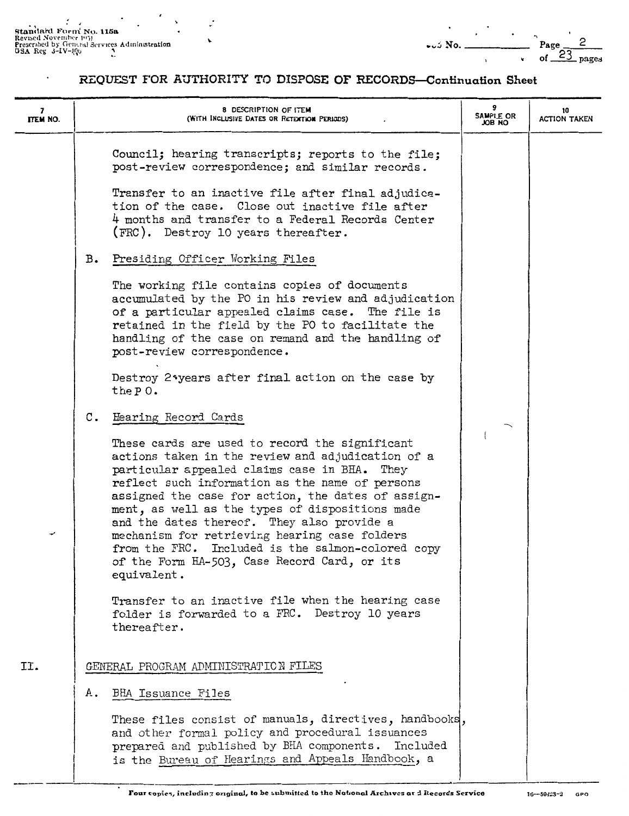Sta~;IRrcl F,;rn: No. 115a Rev1~cfl N'ovrrnh1~r l'•'il Presrnhcd by Cir-n,\_ral 3Prv1ccs AdminLcitrntion ....~No. \_\_\_\_\_\_ Page,-,,-\_2\_\_ GSA Reg J-IV-J,ql, *:\_* 

 $\ddot{\phantom{a}}$ 

| 7<br>ITEM NO. |    | 8 DESCRIPTION OF ITEM<br>(WITH INCLUSIVE DATES OR RETENTION PERIODS)                                                                                                                                                                                                                                                                                                                                                                                                                                                               | 9<br>SAMPLE OR<br>ON BOL | 10<br><b>ACTION TAKEN</b> |
|---------------|----|------------------------------------------------------------------------------------------------------------------------------------------------------------------------------------------------------------------------------------------------------------------------------------------------------------------------------------------------------------------------------------------------------------------------------------------------------------------------------------------------------------------------------------|--------------------------|---------------------------|
|               |    | Council; hearing transcripts; reports to the file;<br>post-review correspondence; and similar records.<br>Transfer to an inactive file after final adjudica-<br>tion of the case. Close out inactive file after<br>4 months and transfer to a Federal Records Center<br>(FRC). Destroy 10 years thereafter.                                                                                                                                                                                                                        |                          |                           |
|               | в. | Presiding Officer Working Files                                                                                                                                                                                                                                                                                                                                                                                                                                                                                                    |                          |                           |
|               |    | The working file contains copies of documents<br>accumulated by the PO in his review and adjudication<br>of a particular appealed claims case. The file is<br>retained in the field by the PO to facilitate the<br>handling of the case on remand and the handling of<br>post-review correspondence.                                                                                                                                                                                                                               |                          |                           |
|               |    | Destroy 2*years after final action on the case by<br>the $P_0$ .                                                                                                                                                                                                                                                                                                                                                                                                                                                                   |                          |                           |
|               | с. | Hearing Record Cards                                                                                                                                                                                                                                                                                                                                                                                                                                                                                                               |                          |                           |
| می            |    | These cards are used to record the significant<br>actions taken in the review and adjudication of a<br>particular appealed claims case in BHA. They<br>reflect such information as the name of persons<br>assigned the case for action, the dates of assign-<br>ment, as well as the types of dispositions made<br>and the dates thereof. They also provide a<br>mechanism for retrieving hearing case folders<br>from the FRC. Included is the salmon-colored copy<br>of the Form HA-503, Case Record Card, or its<br>equivalent. |                          |                           |
|               |    | Transfer to an inactive file when the hearing case<br>folder is forwarded to a FRC. Destroy 10 years<br>thereafter.                                                                                                                                                                                                                                                                                                                                                                                                                |                          |                           |
| II.           |    | GENERAL PROGRAM ADMINISTRATION FILES                                                                                                                                                                                                                                                                                                                                                                                                                                                                                               |                          |                           |
|               | А. | <b>BHA Issuance Files</b>                                                                                                                                                                                                                                                                                                                                                                                                                                                                                                          |                          |                           |
|               |    | These files consist of manuals, directives, handbooks,<br>and other formal policy and procedural issuances<br>prepared and published by BHA components.<br>Included<br>is the Bureau of Hearings and Appeals Handbook, a                                                                                                                                                                                                                                                                                                           |                          |                           |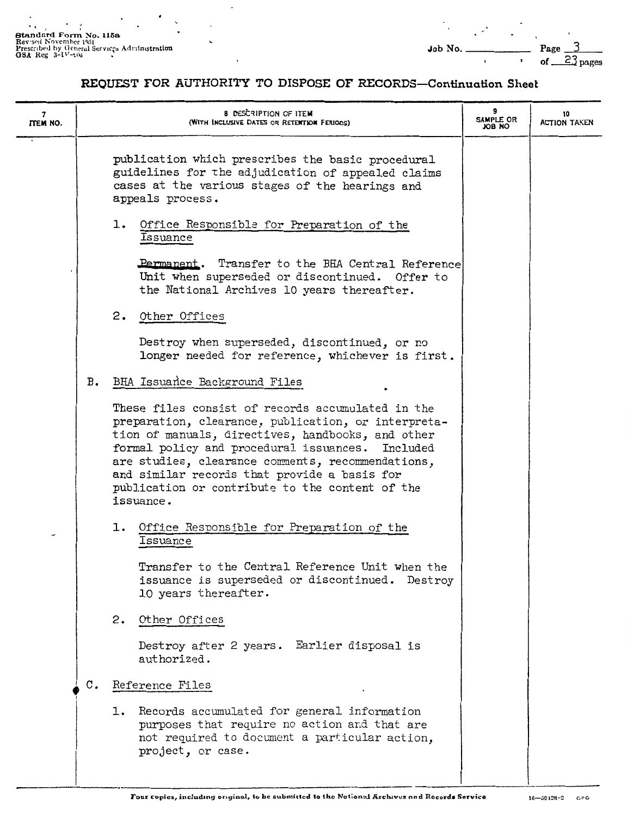Standard Form No. 115a<br>Reveal November 1951<br>Prescribed by General Services Administration<br>OSA Reg 3-1V-106

| 7<br><b>ITEM NO.</b> |                | <b>8 DESCRIPTION OF ITEM</b><br>(WITH INCLUSIVE DATES OR RETENTION FERIODS)                                                                                                                                                                                                                                                                                                            | 9<br>SAMPLE OR<br>ON BOL | 10<br><b>ACTION TAKEN</b> |
|----------------------|----------------|----------------------------------------------------------------------------------------------------------------------------------------------------------------------------------------------------------------------------------------------------------------------------------------------------------------------------------------------------------------------------------------|--------------------------|---------------------------|
|                      |                | publication which prescribes the basic procedural<br>guidelines for the adjudication of appealed claims<br>cases at the various stages of the hearings and<br>appeals process.                                                                                                                                                                                                         |                          |                           |
|                      |                | 1.<br>Office Responsible for Preparation of the<br>Issuance                                                                                                                                                                                                                                                                                                                            |                          |                           |
|                      |                | Permanent. Transfer to the BHA Central Reference<br>Unit when superseded or discontinued. Offer to<br>the National Archives 10 years thereafter.                                                                                                                                                                                                                                       |                          |                           |
|                      |                | 2. Other Offices                                                                                                                                                                                                                                                                                                                                                                       |                          |                           |
|                      |                | Destroy when superseded, discontinued, or no<br>longer needed for reference, whichever is first.                                                                                                                                                                                                                                                                                       |                          |                           |
|                      | B.             | BHA Issuance Background Files                                                                                                                                                                                                                                                                                                                                                          |                          |                           |
|                      |                | These files consist of records accumulated in the<br>preparation, clearance, publication, or interpreta-<br>tion of manuals, directives, handbooks, and other<br>formal policy and procedural issuances. Included<br>are studies, clearance comments, recommendations,<br>and similar records that provide a basis for<br>publication or contribute to the content of the<br>issuance. |                          |                           |
|                      |                | Office Responsible for Preparation of the<br>ı.<br>Issuance                                                                                                                                                                                                                                                                                                                            |                          |                           |
|                      |                | Transfer to the Central Reference Unit when the<br>issuance is superseded or discontinued. Destroy<br>10 years thereafter.                                                                                                                                                                                                                                                             |                          |                           |
|                      |                | 2.<br>Other Offices                                                                                                                                                                                                                                                                                                                                                                    |                          |                           |
|                      |                | Destroy after 2 years. Earlier disposal is<br>authorized.                                                                                                                                                                                                                                                                                                                              |                          |                           |
|                      | $\mathbf{C}$ . | Reference Files                                                                                                                                                                                                                                                                                                                                                                        |                          |                           |
|                      |                | 1. Records accumulated for general information<br>purposes that require no action and that are<br>not required to document a particular action,<br>project, or case.                                                                                                                                                                                                                   |                          |                           |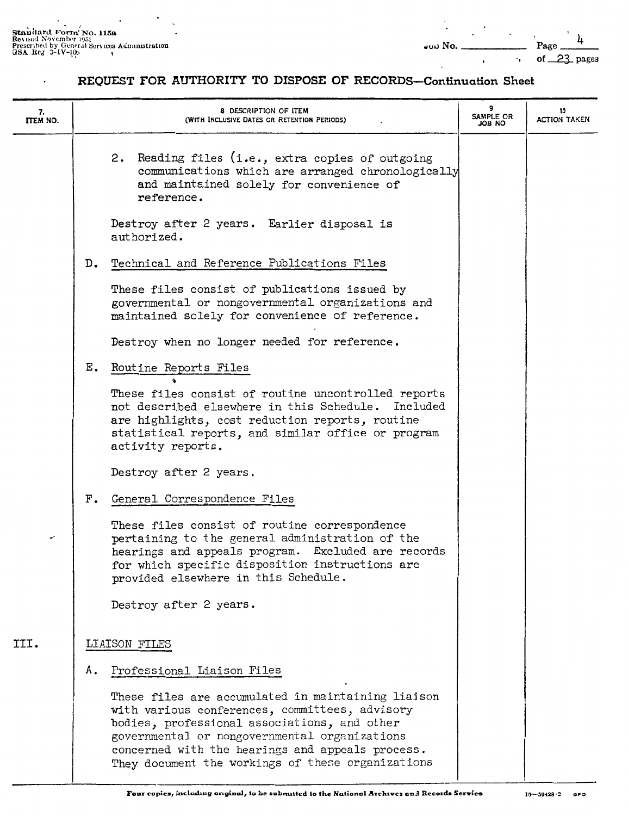$\overline{a}$ 

| 7.<br><b>ITEM NO.</b> |    | 8 DESCRIPTION OF ITEM<br>(WITH INCLUSIVE DATES OR RETENTION PERIODS)                                                                                                                                                                                                                                           | 9<br>SAMPLE OR<br>ON BOL | 10<br><b>ACTION TAKEN</b> |
|-----------------------|----|----------------------------------------------------------------------------------------------------------------------------------------------------------------------------------------------------------------------------------------------------------------------------------------------------------------|--------------------------|---------------------------|
|                       |    | 2. Reading files (i.e., extra copies of outgoing<br>communications which are arranged chronologically<br>and maintained solely for convenience of<br>reference.                                                                                                                                                |                          |                           |
|                       |    | Destroy after 2 years. Earlier disposal is<br>authorized.                                                                                                                                                                                                                                                      |                          |                           |
|                       | D. | Technical and Reference Publications Files                                                                                                                                                                                                                                                                     |                          |                           |
|                       |    | These files consist of publications issued by<br>governmental or nongovernmental organizations and<br>maintained solely for convenience of reference.                                                                                                                                                          |                          |                           |
|                       |    | Destroy when no longer needed for reference.                                                                                                                                                                                                                                                                   |                          |                           |
|                       | E. | Routine Reports Files                                                                                                                                                                                                                                                                                          |                          |                           |
|                       |    | These files consist of routine uncontrolled reports<br>not described elsewhere in this Schedule. Included<br>are highlights, cost reduction reports, routine<br>statistical reports, and similar office or program<br>activity reports.                                                                        |                          |                           |
|                       |    | Destroy after 2 years.                                                                                                                                                                                                                                                                                         |                          |                           |
|                       | F. | General Correspondence Files                                                                                                                                                                                                                                                                                   |                          |                           |
| v                     |    | These files consist of routine correspondence<br>pertaining to the general administration of the<br>hearings and appeals program. Excluded are records<br>for which specific disposition instructions are<br>provided elsewhere in this Schedule.                                                              |                          |                           |
|                       |    | Destroy after 2 years.                                                                                                                                                                                                                                                                                         |                          |                           |
| III.                  |    | LIAISON FILES                                                                                                                                                                                                                                                                                                  |                          |                           |
|                       | Α. | Professional Liaison Files                                                                                                                                                                                                                                                                                     |                          |                           |
|                       |    | These files are accumulated in maintaining liaison<br>with various conferences, committees, advisory<br>bodies, professional associations, and other<br>governmental or nongovernmental organizations<br>concerned with the hearings and appeals process.<br>They document the workings of these organizations |                          |                           |
|                       |    |                                                                                                                                                                                                                                                                                                                |                          |                           |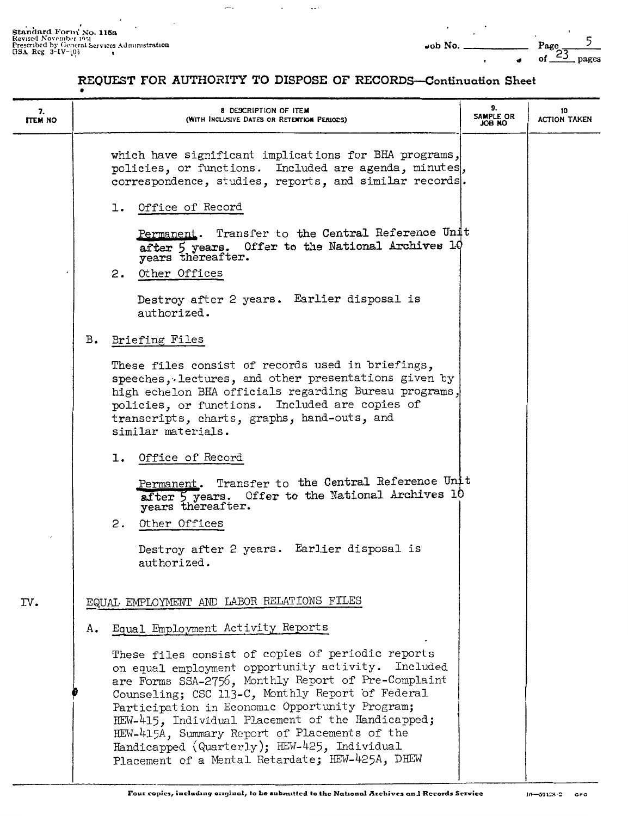$\sim$   $\sim$ 

÷

**.** 

| 7.<br><b>ITEM NO</b> |               | 8 DESCRIPTION OF ITEM<br>(WITH INCLUSIVE DATES OR RETENTION PERIODS)                                                                                                                                                                                                                                                                                                                                                                                                          | 9.<br>SAMPLE OR<br>OM BOL | 10<br><b>ACTION TAKEN</b> |
|----------------------|---------------|-------------------------------------------------------------------------------------------------------------------------------------------------------------------------------------------------------------------------------------------------------------------------------------------------------------------------------------------------------------------------------------------------------------------------------------------------------------------------------|---------------------------|---------------------------|
|                      |               | which have significant implications for BHA programs,<br>policies, or functions. Included are agenda, minutes,<br>correspondence, studies, reports, and similar records.                                                                                                                                                                                                                                                                                                      |                           |                           |
|                      |               | 1. Office of Record<br>Permanent. Transfer to the Central Reference Unit<br>after 5 years. Offer to the National Archives 10 years thereafter.                                                                                                                                                                                                                                                                                                                                |                           |                           |
|                      |               | 2. Other Offices                                                                                                                                                                                                                                                                                                                                                                                                                                                              |                           |                           |
|                      |               | Destroy after 2 years. Earlier disposal is<br>authorized.                                                                                                                                                                                                                                                                                                                                                                                                                     |                           |                           |
|                      | $B_{\bullet}$ | Briefing Files                                                                                                                                                                                                                                                                                                                                                                                                                                                                |                           |                           |
|                      |               | These files consist of records used in briefings,<br>speeches, lectures, and other presentations given by<br>high echelon BHA officials regarding Bureau programs,<br>policies, or functions. Included are copies of<br>transcripts, charts, graphs, hand-outs, and<br>similar materials.                                                                                                                                                                                     |                           |                           |
|                      |               | 1. Office of Record                                                                                                                                                                                                                                                                                                                                                                                                                                                           |                           |                           |
|                      |               | Permanent. Transfer to the Central Reference Unit<br>after 5 years. Offer to the National Archives 10<br>years thereafter.                                                                                                                                                                                                                                                                                                                                                    |                           |                           |
|                      |               | 2. Other Offices                                                                                                                                                                                                                                                                                                                                                                                                                                                              |                           |                           |
|                      |               | Destroy after 2 years. Earlier disposal is<br>authorized.                                                                                                                                                                                                                                                                                                                                                                                                                     |                           |                           |
| IV.                  |               | EQUAL EMPLOYMENT AND LABOR RELATIONS FILES                                                                                                                                                                                                                                                                                                                                                                                                                                    |                           |                           |
|                      | Α.            | Equal Employment Activity Reports                                                                                                                                                                                                                                                                                                                                                                                                                                             |                           |                           |
|                      |               | These files consist of copies of periodic reports<br>on equal employment opportunity activity. Included<br>are Forms SSA-2756, Monthly Report of Pre-Complaint<br>Counseling; CSC 113-C, Monthly Report of Federal<br>Participation in Economic Opportunity Program;<br>HEW-415, Individual Placement of the Handicapped;<br>HEW-415A, Summary Report of Placements of the<br>Handicapped (Quarterly); HEW-425, Individual<br>Placement of a Mental Retardate; HEW-425A, DHEW |                           |                           |

-1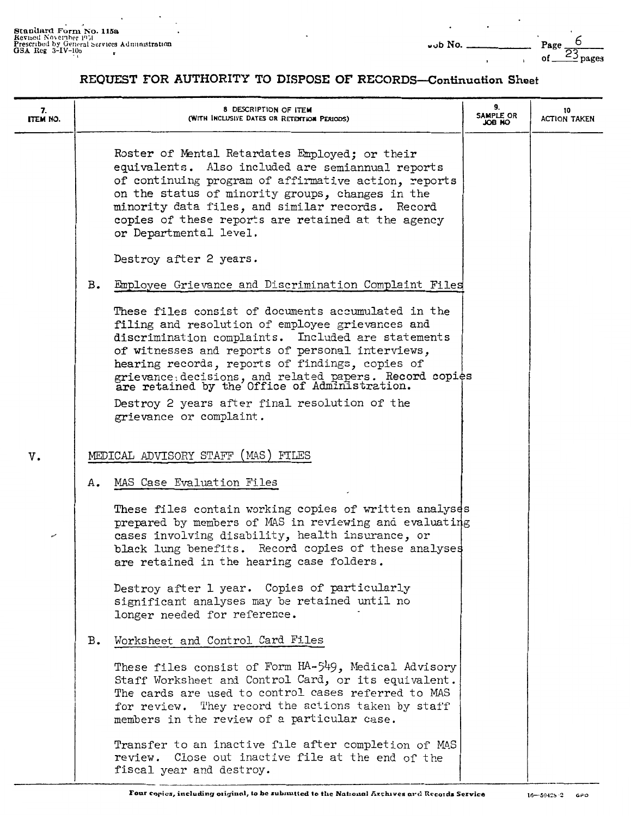6 Page  $23_{\text{pages}}$ of

| 7.<br>ITEM NO. |    | 8 DESCRIPTION OF ITEM<br>(WITH INCLUSIVE DATES OR RETENTION PERIODS)                                                                                                                                                                                                                                                                                                          | 9.<br>SAMPLE OR<br>ON BOL | 10<br><b>ACTION TAKEN</b> |
|----------------|----|-------------------------------------------------------------------------------------------------------------------------------------------------------------------------------------------------------------------------------------------------------------------------------------------------------------------------------------------------------------------------------|---------------------------|---------------------------|
|                |    | Roster of Mental Retardates Employed; or their<br>equivalents. Also included are semiannual reports<br>of continuing program of affirmative action, reports<br>on the status of minority groups, changes in the<br>minority data files, and similar records. Record<br>copies of these reports are retained at the agency<br>or Departmental level.                           |                           |                           |
|                |    | Destroy after 2 years.                                                                                                                                                                                                                                                                                                                                                        |                           |                           |
|                | B. | Employee Grievance and Discrimination Complaint Files                                                                                                                                                                                                                                                                                                                         |                           |                           |
|                |    | These files consist of documents accumulated in the<br>filing and resolution of employee grievances and<br>discrimination complaints. Included are statements<br>of witnesses and reports of personal interviews,<br>hearing records, reports of findings, copies of<br>grievance: decisions, and related papers. Record copies are retained by the Office of Administration. |                           |                           |
|                |    | Destroy 2 years after final resolution of the<br>grievance or complaint.                                                                                                                                                                                                                                                                                                      |                           |                           |
|                |    |                                                                                                                                                                                                                                                                                                                                                                               |                           |                           |
| v.             |    | MEDICAL ADVISORY STAFF (MAS) FILES                                                                                                                                                                                                                                                                                                                                            |                           |                           |
|                | Α. | MAS Case Evaluation Files                                                                                                                                                                                                                                                                                                                                                     |                           |                           |
| ممهم           |    | These files contain working copies of written analyses<br>prepared by members of MAS in reviewing and evaluating<br>cases involving disability, health insurance, or<br>black lung benefits. Record copies of these analyses<br>are retained in the hearing case folders.                                                                                                     |                           |                           |
|                |    | Destroy after 1 year. Copies of particularly<br>significant analyses may be retained until no<br>longer needed for reference.                                                                                                                                                                                                                                                 |                           |                           |
|                | в. | Worksheet and Control Card Files                                                                                                                                                                                                                                                                                                                                              |                           |                           |
|                |    | These files consist of Form HA-549, Medical Advisory<br>Staff Worksheet and Control Card, or its equivalent.<br>The cards are used to control cases referred to MAS<br>for review. They record the actions taken by staff<br>members in the review of a particular case.                                                                                                      |                           |                           |
|                |    | Transfer to an inactive file after completion of MAS<br>review. Close out inactive file at the end of the<br>fiscal year and destroy.                                                                                                                                                                                                                                         |                           |                           |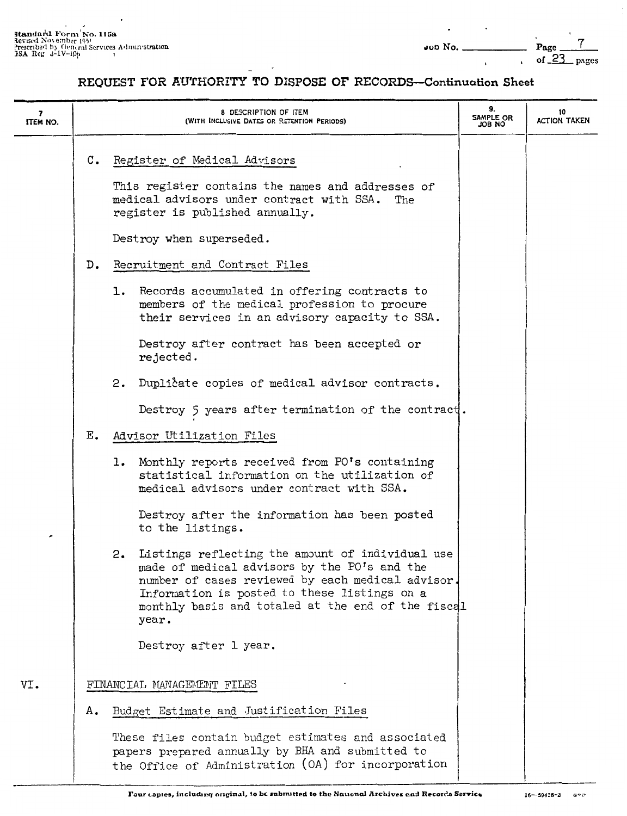| $\overline{\mathbf{z}}$<br>ITEM NO. |    | 8 DESCRIPTION OF ITEM<br>(WITH INCLUSIVE DATES OR RETENTION PERIODS)                                                                                                                                                                                                       | 9.<br><b>SAMPLE OR</b><br>ON 8OL | 10<br><b>ACTION TAKEN</b> |
|-------------------------------------|----|----------------------------------------------------------------------------------------------------------------------------------------------------------------------------------------------------------------------------------------------------------------------------|----------------------------------|---------------------------|
|                                     | c. | Register of Medical Advisors<br>This register contains the names and addresses of<br>medical advisors under contract with SSA. The<br>register is published annually.                                                                                                      |                                  |                           |
|                                     |    | Destroy when superseded.                                                                                                                                                                                                                                                   |                                  |                           |
|                                     | D. | Recruitment and Contract Files                                                                                                                                                                                                                                             |                                  |                           |
|                                     |    | 1. Records accumulated in offering contracts to<br>members of the medical profession to procure<br>their services in an advisory capacity to SSA.                                                                                                                          |                                  |                           |
|                                     |    | Destroy after contract has been accepted or<br>rejected.                                                                                                                                                                                                                   |                                  |                           |
|                                     |    | Duplicate copies of medical advisor contracts.<br>2.                                                                                                                                                                                                                       |                                  |                           |
|                                     |    | Destroy 5 years after termination of the contract.                                                                                                                                                                                                                         |                                  |                           |
|                                     | Ε. | Advisor Utilization Files                                                                                                                                                                                                                                                  |                                  |                           |
|                                     |    | 1. Monthly reports received from PO's containing<br>statistical information on the utilization of<br>medical advisors under contract with SSA.                                                                                                                             |                                  |                           |
|                                     |    | Destroy after the information has been posted<br>to the listings.                                                                                                                                                                                                          |                                  |                           |
|                                     |    | Listings reflecting the amount of individual use<br>2.<br>made of medical advisors by the PO's and the<br>number of cases reviewed by each medical advisor.<br>Information is posted to these listings on a<br>monthly basis and totaled at the end of the fiscal<br>year. |                                  |                           |
|                                     |    | Destroy after 1 year.                                                                                                                                                                                                                                                      |                                  |                           |
| VI.                                 |    | FINANCIAL MANAGEMENT FILES                                                                                                                                                                                                                                                 |                                  |                           |
|                                     | Α. | Budget Estimate and Justification Files                                                                                                                                                                                                                                    |                                  |                           |
|                                     |    | These files contain budget estimates and associated<br>papers prepared annually by BHA and submitted to<br>the Office of Administration (OA) for incorporation                                                                                                             |                                  |                           |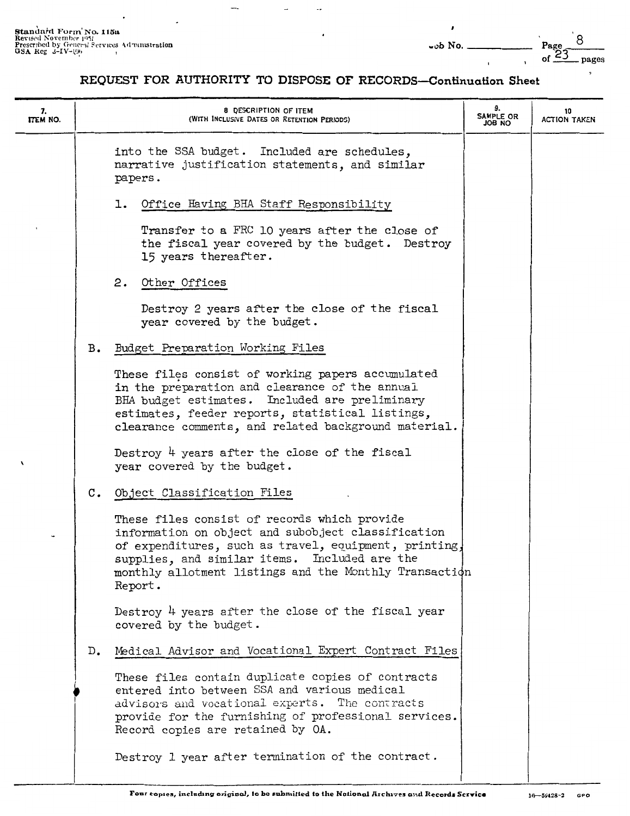| 7.<br><b>ITEM NO.</b> |    | 8 DESCRIPTION OF ITEM<br>(WITH INCLUSIVE DATES OR RETENTION PERIODS)                                                                                                                                                                                                              | 9.<br><b>SAMPLE OR</b><br>ON 8OL | 10<br><b>ACTION TAKEN</b> |
|-----------------------|----|-----------------------------------------------------------------------------------------------------------------------------------------------------------------------------------------------------------------------------------------------------------------------------------|----------------------------------|---------------------------|
|                       |    | into the SSA budget. Included are schedules,<br>narrative justification statements, and similar<br>papers.                                                                                                                                                                        |                                  |                           |
|                       |    | 1. Office Having BHA Staff Responsibility                                                                                                                                                                                                                                         |                                  |                           |
|                       |    | Transfer to a FRC 10 years after the close of<br>the fiscal year covered by the budget. Destroy<br>15 years thereafter.                                                                                                                                                           |                                  |                           |
|                       |    | 2. Other Offices                                                                                                                                                                                                                                                                  |                                  |                           |
|                       |    | Destroy 2 years after the close of the fiscal<br>year covered by the budget.                                                                                                                                                                                                      |                                  |                           |
|                       | в. | Budget Preparation Working Files                                                                                                                                                                                                                                                  |                                  |                           |
|                       |    | These files consist of working papers accumulated<br>in the preparation and clearance of the annual<br>BHA budget estimates. Included are preliminary<br>estimates, feeder reports, statistical listings,<br>clearance comments, and related background material.                 |                                  |                           |
| 1                     |    | Destroy 4 years after the close of the fiscal<br>year covered by the budget.                                                                                                                                                                                                      |                                  |                           |
|                       |    | C. Object Classification Files                                                                                                                                                                                                                                                    |                                  |                           |
|                       |    | These files consist of records which provide<br>information on object and subobject classification<br>of expenditures, such as travel, equipment, printing,<br>supplies, and similar items. Included are the<br>monthly allotment listings and the Monthly Transaction<br>Report. |                                  |                           |
|                       |    | Destroy 4 years after the close of the fiscal year<br>covered by the budget.                                                                                                                                                                                                      |                                  |                           |
|                       | D. | Medical Advisor and Vocational Expert Contract Files                                                                                                                                                                                                                              |                                  |                           |
|                       |    | These files contain duplicate copies of contracts<br>entered into between SSA and various medical<br>advisors and vocational experts. The contracts<br>provide for the furnishing of professional services.<br>Record copies are retained by OA.                                  |                                  |                           |
|                       |    | Destroy 1 year after termination of the contract.                                                                                                                                                                                                                                 |                                  |                           |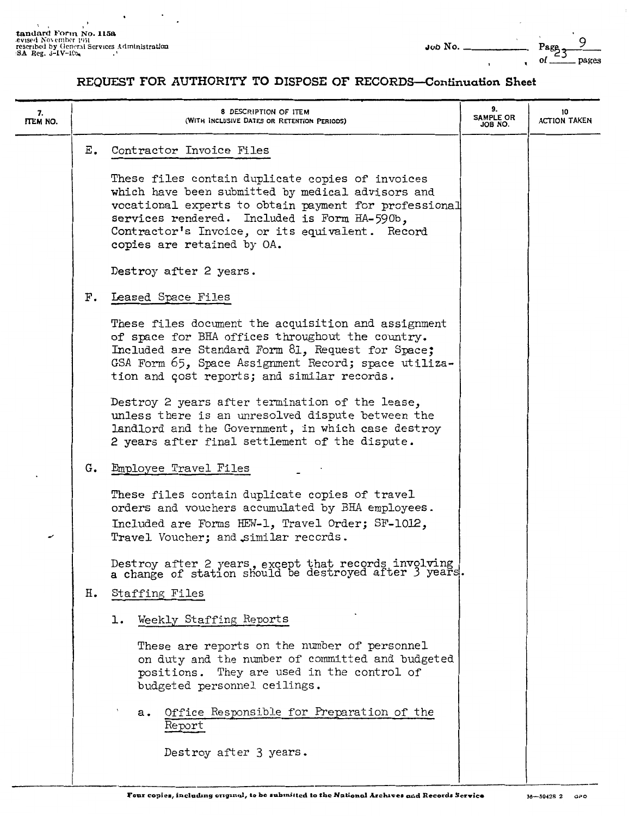tandard Form No. 115a.<br> **evised November 1951**<br> **rescribed by General Services Administration**<br> **.excribed by Occurred Services Administration** 

| 7.<br><b>ITEM NO.</b> |    | 8 DESCRIPTION OF ITEM<br>(WITH INCLUSIVE DATES OR RETENTION PERIODS)                                                                                                                                                                                                                            | 9.<br><b>SAMPLE OR</b><br>JOB NO. | 10<br><b>ACTION TAKEN</b> |
|-----------------------|----|-------------------------------------------------------------------------------------------------------------------------------------------------------------------------------------------------------------------------------------------------------------------------------------------------|-----------------------------------|---------------------------|
|                       | Ε. | Contractor Invoice Files                                                                                                                                                                                                                                                                        |                                   |                           |
|                       |    | These files contain duplicate copies of invoices<br>which have been submitted by medical advisors and<br>vocational experts to obtain payment for professional<br>services rendered. Included is Form HA-590b,<br>Contractor's Invoice, or its equivalent. Record<br>copies are retained by OA. |                                   |                           |
|                       |    | Destroy after 2 years.                                                                                                                                                                                                                                                                          |                                   |                           |
|                       |    | F. Leased Space Files                                                                                                                                                                                                                                                                           |                                   |                           |
|                       |    | These files document the acquisition and assignment<br>of space for BHA offices throughout the country.<br>Included are Standard Form 81, Request for Space;<br>GSA Form 65, Space Assignment Record; space utiliza-<br>tion and cost reports; and similar records.                             |                                   |                           |
|                       |    | Destroy 2 years after termination of the lease,<br>unless there is an unresolved dispute between the<br>landlord and the Government, in which case destroy<br>2 years after final settlement of the dispute.                                                                                    |                                   |                           |
|                       | G. | Employee Travel Files                                                                                                                                                                                                                                                                           |                                   |                           |
| ر                     |    | These files contain duplicate copies of travel<br>orders and vouchers accumulated by BHA employees.<br>Included are Forms HEW-1, Travel Order; SF-1012,<br>Travel Voucher; and similar records.                                                                                                 |                                   |                           |
|                       |    | Destroy after 2 years, except that records involving a change of station should be destroyed after 3 years.                                                                                                                                                                                     |                                   |                           |
|                       | н. | Staffing Files                                                                                                                                                                                                                                                                                  |                                   |                           |
|                       |    | 1. Weekly Staffing Reports                                                                                                                                                                                                                                                                      |                                   |                           |
|                       |    | These are reports on the number of personnel<br>on duty and the number of committed and budgeted<br>They are used in the control of<br>positions.<br>budgeted personnel ceilings.                                                                                                               |                                   |                           |
|                       |    | Office Responsible for Preparation of the<br>а.<br>Report                                                                                                                                                                                                                                       |                                   |                           |
|                       |    | Destroy after 3 years.                                                                                                                                                                                                                                                                          |                                   |                           |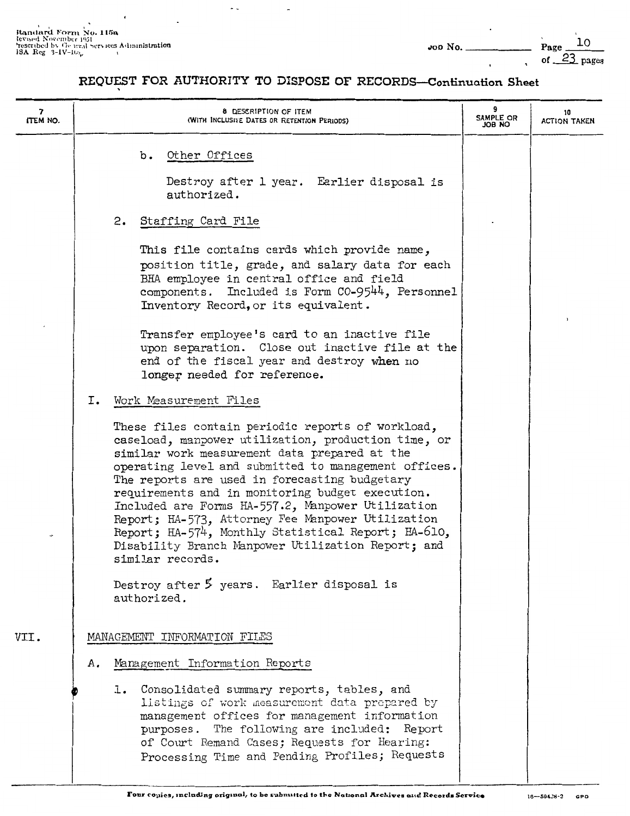$\ddot{\phantom{0}}$ 

| 7<br>ITEM NO. |    | 8 DESCRIPTION OF ITEM<br>(WITH INCLUSIVE DATES OR RETENTION PERIODS)                                                                                                                                                                                                                                                                                                                                                                                                                                                                                                                                                                                     | 9<br><b>SAMPLE OR</b><br>ON BOL | 10<br><b>ACTION TAKEN</b> |
|---------------|----|----------------------------------------------------------------------------------------------------------------------------------------------------------------------------------------------------------------------------------------------------------------------------------------------------------------------------------------------------------------------------------------------------------------------------------------------------------------------------------------------------------------------------------------------------------------------------------------------------------------------------------------------------------|---------------------------------|---------------------------|
|               |    | Other Offices<br>b.<br>Destroy after 1 year. Earlier disposal is<br>authorized.<br>2. Staffing Card File                                                                                                                                                                                                                                                                                                                                                                                                                                                                                                                                                 |                                 |                           |
|               |    | This file contains cards which provide name,<br>position title, grade, and salary data for each<br>BHA employee in central office and field<br>components. Included is Form CO-9544, Personnel<br>Inventory Record, or its equivalent.                                                                                                                                                                                                                                                                                                                                                                                                                   |                                 |                           |
|               |    | Transfer employee's card to an inactive file<br>upon separation. Close out inactive file at the<br>end of the fiscal year and destroy when no<br>longer needed for reference.                                                                                                                                                                                                                                                                                                                                                                                                                                                                            |                                 |                           |
|               | Ι. | Work Measurement Files<br>These files contain periodic reports of workload,<br>caseload, manpower utilization, production time, or<br>similar work measurement data prepared at the<br>operating level and submitted to management offices.<br>The reports are used in forecasting budgetary<br>requirements and in monitoring budget execution.<br>Included are Forms HA-557.2, Manpower Utilization<br>Report; HA-573, Attorney Fee Manpower Utilization<br>Report; HA-574, Monthly Statistical Report; HA-610,<br>Disability Branch Manpower Utilization Report; and<br>similar records.<br>Destroy after 5 years. Earlier disposal is<br>authorized. |                                 |                           |
| VII.          |    | MANAGEMENT INFORMATION FILES                                                                                                                                                                                                                                                                                                                                                                                                                                                                                                                                                                                                                             |                                 |                           |
|               | А. | Management Information Reports                                                                                                                                                                                                                                                                                                                                                                                                                                                                                                                                                                                                                           |                                 |                           |
|               |    | 1. Consolidated summary reports, tables, and<br>listings of work measurement data prepared by<br>management offices for management information<br>purposes. The following are included: Report<br>of Court Remand Cases; Requests for Hearing:<br>Processing Time and Pending Profiles; Requests                                                                                                                                                                                                                                                                                                                                                         |                                 |                           |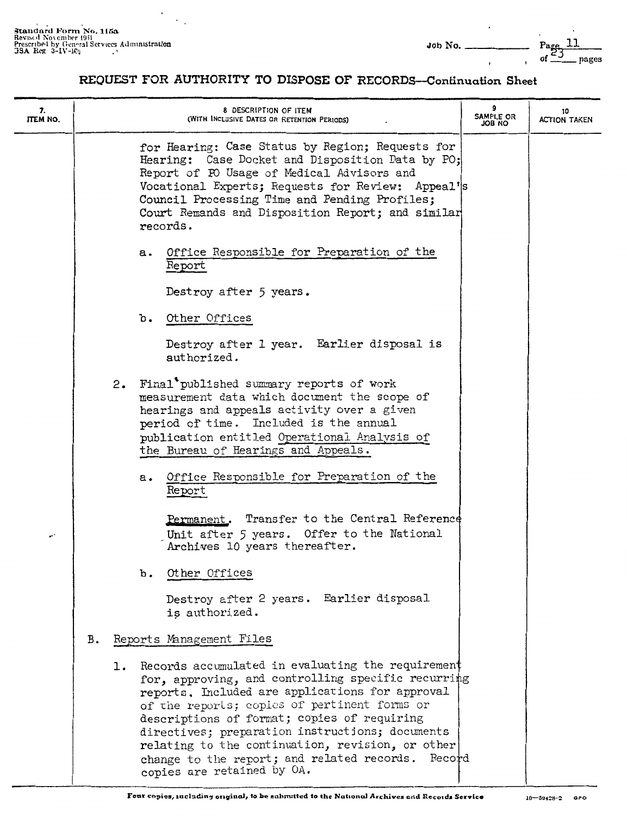$\ddot{\phantom{0}}$ 

| 7.<br>ITEM NO. |    | 8 DESCRIPTION OF ITEM<br>(WITH INCLUSIVE DATES OR RETENTION PERIODS)                                                                                                                                                                                                                                                                                                                                                                                      | SAMPLE OR<br>ON BOL | 10<br>ACTION TAKEN |
|----------------|----|-----------------------------------------------------------------------------------------------------------------------------------------------------------------------------------------------------------------------------------------------------------------------------------------------------------------------------------------------------------------------------------------------------------------------------------------------------------|---------------------|--------------------|
|                |    | for Hearing: Case Status by Region; Requests for<br>Hearing: Case Docket and Disposition Data by PO;<br>Report of PO Usage of Medical Advisors and<br>Vocational Experts; Requests for Review: Appeal's<br>Council Processing Time and Pending Profiles;<br>Court Remands and Disposition Report; and similar<br>records.                                                                                                                                 |                     |                    |
|                |    | Office Responsible for Preparation of the<br>а.<br>Report                                                                                                                                                                                                                                                                                                                                                                                                 |                     |                    |
|                |    | Destroy after 5 years.                                                                                                                                                                                                                                                                                                                                                                                                                                    |                     |                    |
|                |    | Other Offices<br>ъ.                                                                                                                                                                                                                                                                                                                                                                                                                                       |                     |                    |
|                |    | Destroy after 1 year. Earlier disposal is<br>authorized.                                                                                                                                                                                                                                                                                                                                                                                                  |                     |                    |
|                |    | 2. Final published summary reports of work<br>measurement data which document the scope of<br>hearings and appeals activity over a given<br>period of time. Included is the annual<br>publication entitled Operational Analysis of<br>the Bureau of Hearings and Appeals.                                                                                                                                                                                 |                     |                    |
|                |    | Office Responsible for Preparation of the<br>а.<br>Report                                                                                                                                                                                                                                                                                                                                                                                                 |                     |                    |
|                |    | Permanent. Transfer to the Central Reference<br>Unit after 5 years. Offer to the National<br>Archives 10 years thereafter.                                                                                                                                                                                                                                                                                                                                |                     |                    |
|                |    | Other Offices<br>$\mathbf b$ .                                                                                                                                                                                                                                                                                                                                                                                                                            |                     |                    |
|                |    | Destroy after 2 years. Earlier disposal<br>is authorized.                                                                                                                                                                                                                                                                                                                                                                                                 |                     |                    |
|                | в. | Reports Management Files                                                                                                                                                                                                                                                                                                                                                                                                                                  |                     |                    |
|                |    | Records accumulated in evaluating the requirement<br>ı.<br>for, approving, and controlling specific recurring<br>reports. Included are applications for approval<br>of the reports; copies of pertinent forms or<br>descriptions of format; copies of requiring<br>directives; preparation instructions; documents<br>relating to the continuation, revision, or other<br>change to the report; and related records. Record<br>copies are retained by OA. |                     |                    |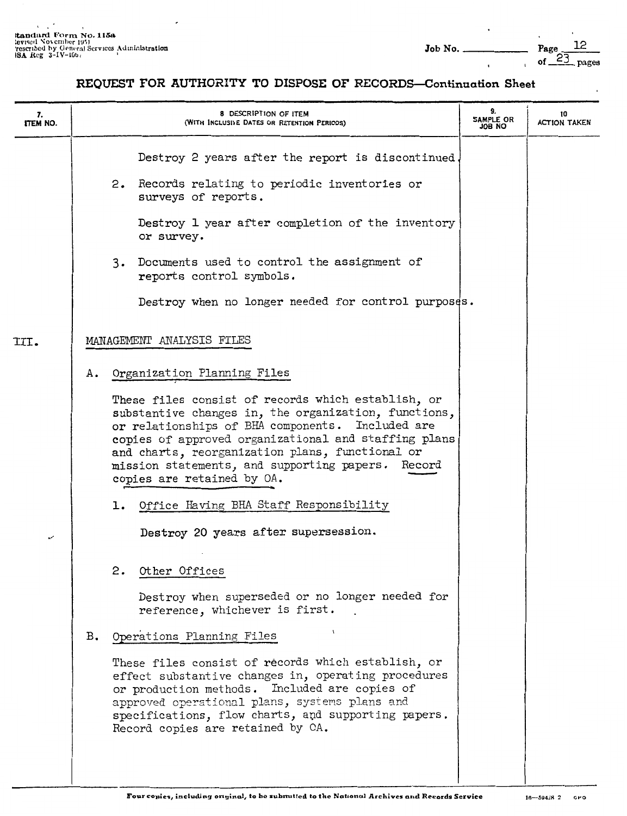| 7.<br>ITEM NO.           |    | <b>8 DESCRIPTION OF ITEM</b><br>(WITH INCLUSIVE DATES OR RETENTION PERIODS)                                                                                                                                                                                                                                                                                                                               | 9.<br>SAMPLE OR<br>ON 80L | 10<br><b>ACTION TAKEN</b> |
|--------------------------|----|-----------------------------------------------------------------------------------------------------------------------------------------------------------------------------------------------------------------------------------------------------------------------------------------------------------------------------------------------------------------------------------------------------------|---------------------------|---------------------------|
|                          |    | Destroy 2 years after the report is discontinued.                                                                                                                                                                                                                                                                                                                                                         |                           |                           |
|                          |    | 2. Records relating to periodic inventories or<br>surveys of reports.                                                                                                                                                                                                                                                                                                                                     |                           |                           |
|                          |    | Destroy 1 year after completion of the inventory<br>or survey.                                                                                                                                                                                                                                                                                                                                            |                           |                           |
|                          |    | 3. Documents used to control the assignment of<br>reports control symbols.                                                                                                                                                                                                                                                                                                                                |                           |                           |
|                          |    | Destroy when no longer needed for control purposes.                                                                                                                                                                                                                                                                                                                                                       |                           |                           |
| III.                     |    | MANAGEMENT ANALYSIS FILES                                                                                                                                                                                                                                                                                                                                                                                 |                           |                           |
|                          | А. | Organization Planning Files                                                                                                                                                                                                                                                                                                                                                                               |                           |                           |
|                          |    | These files consist of records which establish, or<br>substantive changes in, the organization, functions,<br>or relationships of BHA components. Included are<br>copies of approved organizational and staffing plans<br>and charts, reorganization plans, functional or<br>mission statements, and supporting papers. Record<br>copies are retained by OA.<br>1. Office Having BHA Staff Responsibility |                           |                           |
| $\overline{\phantom{a}}$ |    | Destroy 20 years after supersession.                                                                                                                                                                                                                                                                                                                                                                      |                           |                           |
|                          |    | Other Offices<br>2.<br>Destroy when superseded or no longer needed for                                                                                                                                                                                                                                                                                                                                    |                           |                           |
|                          |    | reference, whichever is first.                                                                                                                                                                                                                                                                                                                                                                            |                           |                           |
|                          | в. | Operations Planning Files                                                                                                                                                                                                                                                                                                                                                                                 |                           |                           |
|                          |    | These files consist of records which establish, or<br>effect substantive changes in, operating procedures<br>or production methods. Included are copies of<br>approved operational plans, systems plans and<br>specifications, flow charts, and supporting papers.<br>Record copies are retained by CA.                                                                                                   |                           |                           |
|                          |    |                                                                                                                                                                                                                                                                                                                                                                                                           |                           |                           |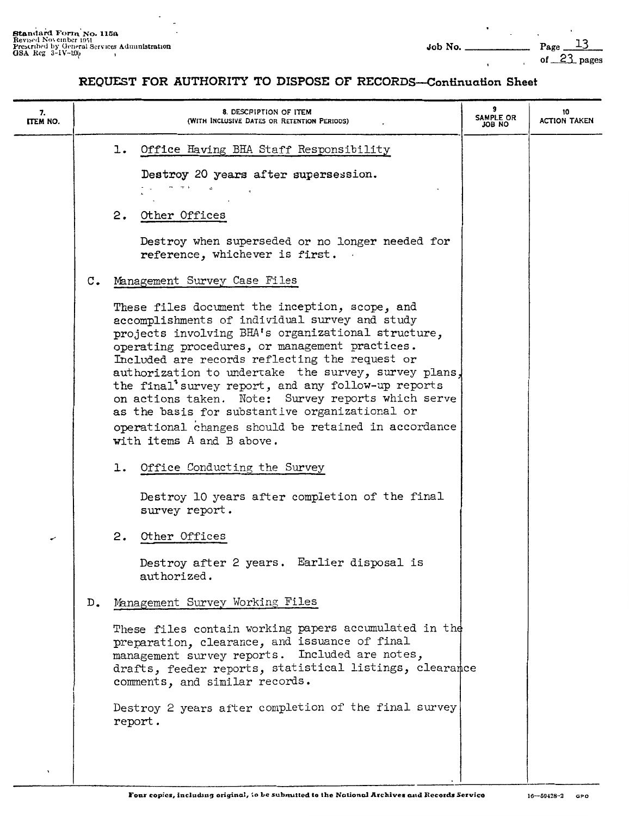| 8. DESCRIPTION OF ITEM<br>(WITH INCLUSIVE DATES OR RETENTION PERIODS)                                                                                                                                                                                                                                                                                                                                                                                                                                       | 9<br>SAMPLE OR<br>OU BOL                                                                                             | 10<br><b>ACTION TAKEN</b>                                                                                                                                                                                                        |
|-------------------------------------------------------------------------------------------------------------------------------------------------------------------------------------------------------------------------------------------------------------------------------------------------------------------------------------------------------------------------------------------------------------------------------------------------------------------------------------------------------------|----------------------------------------------------------------------------------------------------------------------|----------------------------------------------------------------------------------------------------------------------------------------------------------------------------------------------------------------------------------|
| Office Having BHA Staff Responsibility<br>ı.<br>Destroy 20 years after supersession.                                                                                                                                                                                                                                                                                                                                                                                                                        |                                                                                                                      |                                                                                                                                                                                                                                  |
| 2.<br>Other Offices                                                                                                                                                                                                                                                                                                                                                                                                                                                                                         |                                                                                                                      |                                                                                                                                                                                                                                  |
| reference, whichever is first.                                                                                                                                                                                                                                                                                                                                                                                                                                                                              |                                                                                                                      |                                                                                                                                                                                                                                  |
| $\mathfrak{c}$ .<br>Management Survey Case Files<br>These files document the inception, scope, and<br>accomplishments of individual survey and study<br>projects involving BHA's organizational structure,<br>operating procedures, or management practices.<br>Included are records reflecting the request or<br>the final'survey report, and any follow-up reports<br>as the basis for substantive organizational or<br>operational changes should be retained in accordance<br>with items A and B above. |                                                                                                                      |                                                                                                                                                                                                                                  |
| 1. Office Conducting the Survey<br>Destroy 10 years after completion of the final<br>survey report.                                                                                                                                                                                                                                                                                                                                                                                                         |                                                                                                                      |                                                                                                                                                                                                                                  |
| 2. Other Offices<br>Destroy after 2 years. Earlier disposal is<br>authorized.                                                                                                                                                                                                                                                                                                                                                                                                                               |                                                                                                                      |                                                                                                                                                                                                                                  |
| Management Survey Working Files<br>D.<br>preparation, clearance, and issuance of final<br>management survey reports. Included are notes,<br>comments, and similar records.<br>report.                                                                                                                                                                                                                                                                                                                       |                                                                                                                      |                                                                                                                                                                                                                                  |
|                                                                                                                                                                                                                                                                                                                                                                                                                                                                                                             | $- + +$ $+$<br>Destroy when superseded or no longer needed for<br>on actions taken. Note: Survey reports which serve | authorization to undertake the survey, survey plans,<br>These files contain working papers accumulated in the<br>drafts, feeder reports, statistical listings, clearance<br>Destroy 2 years after completion of the final survey |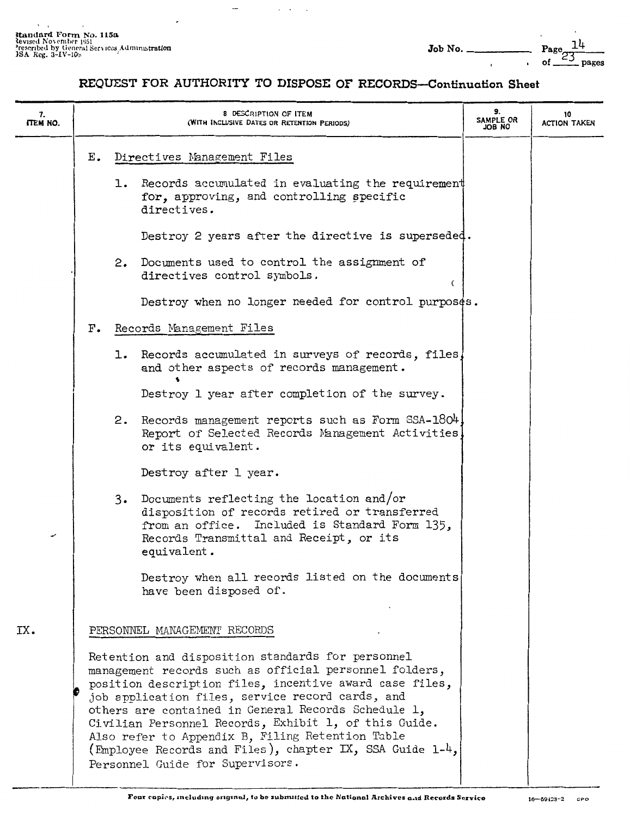$\overline{\phantom{a}}$  $\overline{\phantom{a}}$ 

#### REQUEST FOR AUTHORITY TO DISPOSE OF RECORDS-Continuation Sheet

 $\sim$ 

| 7.<br>ITEM NO. |              | 8 DESCRIPTION OF ITEM<br>(WITH INCLUSIVE DATES OR RETENTION PERIODS)                                                                                                                                                                                                                                                                                                                                                                                                                           | 9.<br>SAMPLE OR<br>ON BOL | 10<br><b>ACTION TAKEN</b> |
|----------------|--------------|------------------------------------------------------------------------------------------------------------------------------------------------------------------------------------------------------------------------------------------------------------------------------------------------------------------------------------------------------------------------------------------------------------------------------------------------------------------------------------------------|---------------------------|---------------------------|
|                | Е.           | Directives Management Files                                                                                                                                                                                                                                                                                                                                                                                                                                                                    |                           |                           |
|                |              | 1. Records accumulated in evaluating the requirement<br>for, approving, and controlling specific<br>directives.                                                                                                                                                                                                                                                                                                                                                                                |                           |                           |
|                |              | Destroy 2 years after the directive is superseded.                                                                                                                                                                                                                                                                                                                                                                                                                                             |                           |                           |
|                |              | 2. Documents used to control the assignment of<br>directives control symbols.<br>€                                                                                                                                                                                                                                                                                                                                                                                                             |                           |                           |
|                |              | Destroy when no longer needed for control purposes.                                                                                                                                                                                                                                                                                                                                                                                                                                            |                           |                           |
|                | $_{\rm F}$ . | Records Management Files                                                                                                                                                                                                                                                                                                                                                                                                                                                                       |                           |                           |
|                |              | 1. Records accumulated in surveys of records, files,<br>and other aspects of records management.                                                                                                                                                                                                                                                                                                                                                                                               |                           |                           |
|                |              | Destroy 1 year after completion of the survey.                                                                                                                                                                                                                                                                                                                                                                                                                                                 |                           |                           |
|                |              | 2. Records management reports such as Form SSA-1804<br>Report of Selected Records Management Activities,<br>or its equivalent.                                                                                                                                                                                                                                                                                                                                                                 |                           |                           |
|                |              | Destroy after 1 year.                                                                                                                                                                                                                                                                                                                                                                                                                                                                          |                           |                           |
| ≁              |              | 3. Documents reflecting the location and/or<br>disposition of records retired or transferred<br>from an office. Included is Standard Form 135,<br>Records Transmittal and Receipt, or its<br>equivalent.                                                                                                                                                                                                                                                                                       |                           |                           |
|                |              | Destroy when all records listed on the documents<br>have been disposed of.                                                                                                                                                                                                                                                                                                                                                                                                                     |                           |                           |
| IX.            |              | PERSONNEL MANAGEMENT RECORDS                                                                                                                                                                                                                                                                                                                                                                                                                                                                   |                           |                           |
|                |              | Retention and disposition standards for personnel<br>management records such as official personnel folders,<br>position description files, incentive award case files,<br>job application files, service record cards, and<br>others are contained in General Records Schedule 1,<br>Civilian Personnel Records, Exhibit 1, of this Guide.<br>Also refer to Appendix B, Filing Retention Table<br>(Employee Records and Files), chapter IX, SSA Guide 1-4,<br>Personnel Guide for Supervisors. |                           |                           |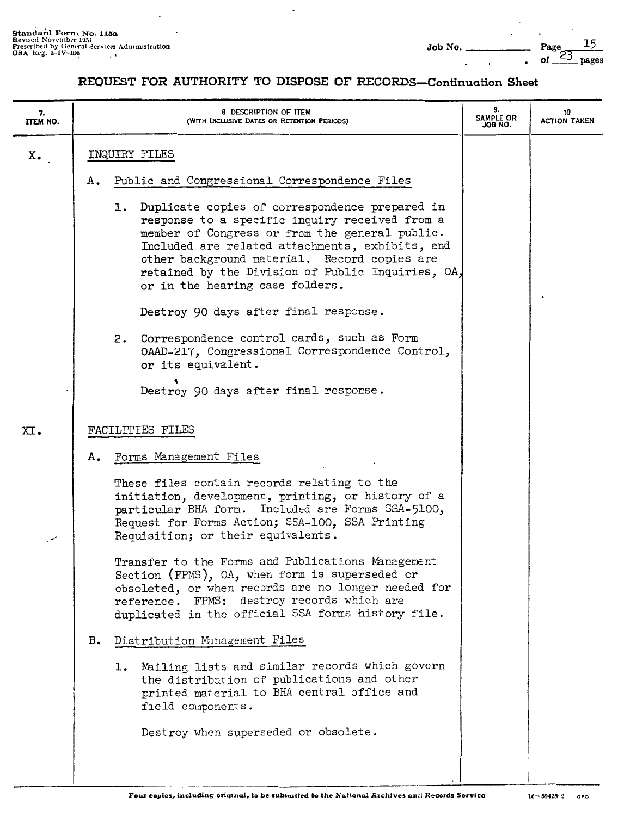| Job No. |  |  |
|---------|--|--|
|         |  |  |

# Page  $23$  pages

| 7.<br><b>ITEM NO.</b> | 8 DESCRIPTION OF ITEM<br>(WITH INCLUSIVE DATES OR RETENTION PERIODS)                                                                                                                                                                                                                                                                             | 9.<br><b>SAMPLE OR</b><br>JOB NO. | 10<br><b>ACTION TAKEN</b> |
|-----------------------|--------------------------------------------------------------------------------------------------------------------------------------------------------------------------------------------------------------------------------------------------------------------------------------------------------------------------------------------------|-----------------------------------|---------------------------|
| x.                    | INQUIRY FILES                                                                                                                                                                                                                                                                                                                                    |                                   |                           |
|                       | Public and Congressional Correspondence Files<br>А.                                                                                                                                                                                                                                                                                              |                                   |                           |
|                       | 1. Duplicate copies of correspondence prepared in<br>response to a specific inquiry received from a<br>member of Congress or from the general public.<br>Included are related attachments, exhibits, and<br>other background material. Record copies are<br>retained by the Division of Public Inquiries, OA,<br>or in the hearing case folders. |                                   |                           |
|                       | Destroy 90 days after final response.                                                                                                                                                                                                                                                                                                            |                                   |                           |
|                       | 2. Correspondence control cards, such as Form<br>OAAD-217, Congressional Correspondence Control,<br>or its equivalent.                                                                                                                                                                                                                           |                                   |                           |
|                       | Destroy 90 days after final response.                                                                                                                                                                                                                                                                                                            |                                   |                           |
| XI.                   | FACILITIES FILES                                                                                                                                                                                                                                                                                                                                 |                                   |                           |
|                       |                                                                                                                                                                                                                                                                                                                                                  |                                   |                           |
|                       | Forms Management Files<br>А.                                                                                                                                                                                                                                                                                                                     |                                   |                           |
| معر                   | These files contain records relating to the<br>initiation, development, printing, or history of a<br>particular BHA form. Included are Forms SSA-5100,<br>Request for Forms Action; SSA-100, SSA Printing<br>Requisition; or their equivalents.                                                                                                  |                                   |                           |
|                       | Transfer to the Forms and Publications Management<br>Section (FPMS), OA, when form is superseded or<br>obsoleted, or when records are no longer needed for<br>reference. FPMS: destroy records which are<br>duplicated in the official SSA forms history file.                                                                                   |                                   |                           |
|                       | Distribution Management Files<br>в.                                                                                                                                                                                                                                                                                                              |                                   |                           |
|                       | Mailing lists and similar records which govern<br>1.<br>the distribution of publications and other<br>printed material to BHA central office and<br>field components.                                                                                                                                                                            |                                   |                           |
|                       | Destroy when superseded or obsolete.                                                                                                                                                                                                                                                                                                             |                                   |                           |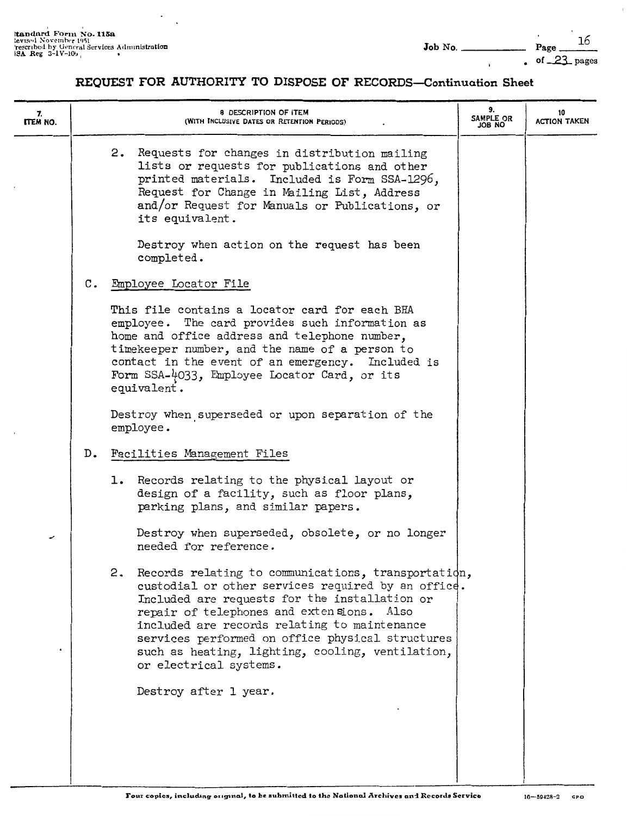| 7.<br>ITEM NO. |       | 8 DESCRIPTION OF ITEM<br>(WITH INCLUSIVE DATES OR RETENTION PERIODS)                                                                                                                                                                                                                                                                                                                            | 9.<br>SAMPLE OR<br>ON BOL | 10<br>ACTION TAKEN |
|----------------|-------|-------------------------------------------------------------------------------------------------------------------------------------------------------------------------------------------------------------------------------------------------------------------------------------------------------------------------------------------------------------------------------------------------|---------------------------|--------------------|
|                |       | 2. Requests for changes in distribution mailing<br>lists or requests for publications and other<br>printed materials. Included is Form SSA-1296,<br>Request for Change in Mailing List, Address<br>and/or Request for Manuals or Publications, or<br>its equivalent.                                                                                                                            |                           |                    |
|                |       | Destroy when action on the request has been<br>completed.                                                                                                                                                                                                                                                                                                                                       |                           |                    |
|                | c.    | Employee Locator File                                                                                                                                                                                                                                                                                                                                                                           |                           |                    |
|                |       | This file contains a locator card for each BHA<br>employee. The card provides such information as<br>home and office address and telephone number,<br>timekeeper number, and the name of a person to<br>contact in the event of an emergency. Included is<br>Form SSA-4033, Employee Locator Card, or its<br>equivalent.                                                                        |                           |                    |
|                |       | Destroy when superseded or upon separation of the<br>employee.                                                                                                                                                                                                                                                                                                                                  |                           |                    |
|                | $D$ . | Facilities Management Files                                                                                                                                                                                                                                                                                                                                                                     |                           |                    |
|                |       | 1. Records relating to the physical layout or<br>design of a facility, such as floor plans,<br>parking plans, and similar papers.                                                                                                                                                                                                                                                               |                           |                    |
| ✔              |       | Destroy when superseded, obsolete, or no longer<br>needed for reference.                                                                                                                                                                                                                                                                                                                        |                           |                    |
|                |       | Records relating to communications, transportation,<br>2.<br>custodial or other services required by an office.<br>Included are requests for the installation or<br>repair of telephones and extensions. Also<br>included are records relating to maintenance<br>services performed on office physical structures<br>such as heating, lighting, cooling, ventilation,<br>or electrical systems. |                           |                    |
|                |       | Destroy after 1 year.                                                                                                                                                                                                                                                                                                                                                                           |                           |                    |
|                |       |                                                                                                                                                                                                                                                                                                                                                                                                 |                           |                    |
|                |       |                                                                                                                                                                                                                                                                                                                                                                                                 |                           |                    |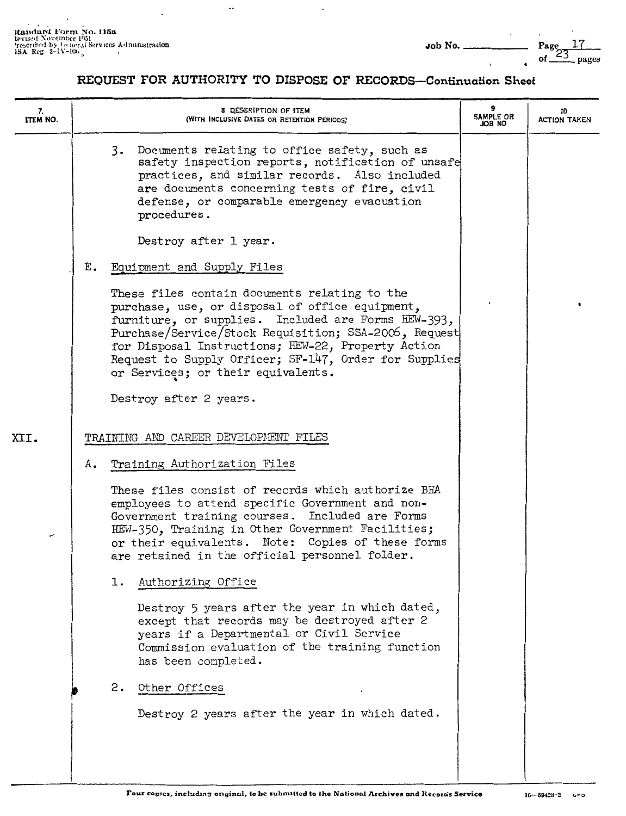$\overline{1}$ 

•

#### **REQUEST FOR AUTHORITY TO DISPOSE OF RECORDS-Continuation Sheet**

 $\sim$ 

| 7.<br>ITEM NO. |    | 8 DESCRIPTION OF ITEM<br>(WITH INCLUSIVE DATES OR RETENTION PERIODS)                                                                                                                                                                                                                                                                                                  | 9<br>SAMPLE OR<br>ю вог | 10<br><b>ACTION TAKEN</b> |
|----------------|----|-----------------------------------------------------------------------------------------------------------------------------------------------------------------------------------------------------------------------------------------------------------------------------------------------------------------------------------------------------------------------|-------------------------|---------------------------|
|                |    | 3.<br>Documents relating to office safety, such as<br>safety inspection reports, notification of unsafe<br>practices, and similar records. Also included<br>are documents concerning tests of fire, civil<br>defense, or comparable emergency evacuation<br>procedures.                                                                                               |                         |                           |
|                |    | Destroy after 1 year.                                                                                                                                                                                                                                                                                                                                                 |                         |                           |
|                | Ε. | Equipment and Supply Files                                                                                                                                                                                                                                                                                                                                            |                         |                           |
|                |    | These files contain documents relating to the<br>purchase, use, or disposal of office equipment,<br>furniture, or supplies. Included are Forms HEW-393,<br>Purchase/Service/Stock Requisition; SSA-2006, Request<br>for Disposal Instructions; HEW-22, Property Action<br>Request to Supply Officer; SF-147, Order for Supplies<br>or Services; or their equivalents. |                         |                           |
|                |    | Destroy after 2 years.                                                                                                                                                                                                                                                                                                                                                |                         |                           |
| XII.           |    | TRAINING AND CAREER DEVELOPMENT FILES                                                                                                                                                                                                                                                                                                                                 |                         |                           |
|                |    |                                                                                                                                                                                                                                                                                                                                                                       |                         |                           |
|                | А. | Training Authorization Files                                                                                                                                                                                                                                                                                                                                          |                         |                           |
| ر              |    | These files consist of records which authorize BHA<br>employees to attend specific Government and non-<br>Government training courses. Included are Forms<br>HEW-350, Training in Other Government Facilities;<br>or their equivalents. Note: Copies of these forms<br>are retained in the official personnel folder.                                                 |                         |                           |
|                |    | Authorizing Office<br>ı.                                                                                                                                                                                                                                                                                                                                              |                         |                           |
|                |    | Destroy 5 years after the year in which dated,<br>except that records may be destroyed after 2<br>years if a Departmental or Civil Service<br>Commission evaluation of the training function<br>has been completed.                                                                                                                                                   |                         |                           |
|                |    | Other Offices<br>2.                                                                                                                                                                                                                                                                                                                                                   |                         |                           |
|                |    | Destroy 2 years after the year in which dated.                                                                                                                                                                                                                                                                                                                        |                         |                           |
|                |    |                                                                                                                                                                                                                                                                                                                                                                       |                         |                           |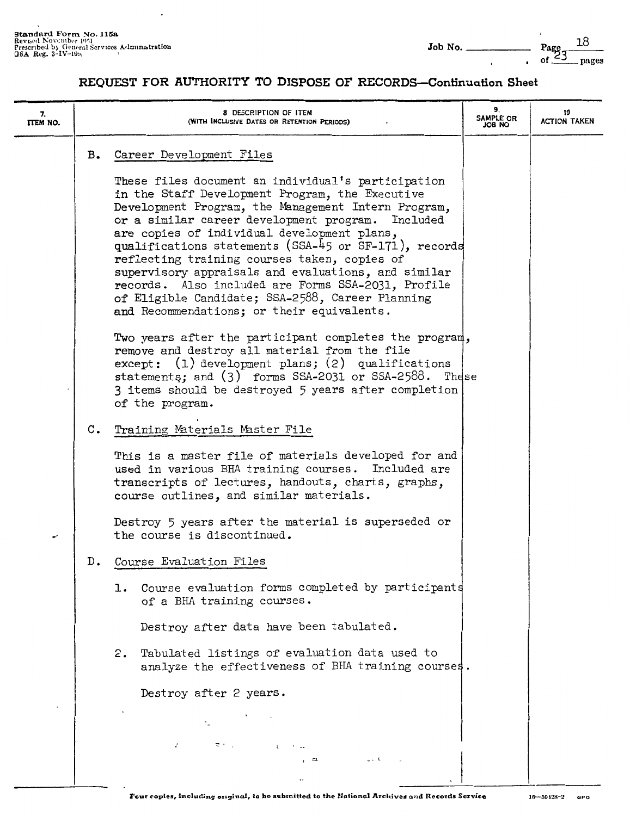| 7.<br>ITEM NO. |    | 8 DESCRIPTION OF ITEM<br>(WITH INCLUSIVE DATES OR RETENTION PERIODS)                                                                                                                                                                                                                                                                                                                                                                                                                                                                                                                        | 9.<br>SAMPLE OR<br>OA BOL | 10<br><b>ACTION TAKEN</b> |
|----------------|----|---------------------------------------------------------------------------------------------------------------------------------------------------------------------------------------------------------------------------------------------------------------------------------------------------------------------------------------------------------------------------------------------------------------------------------------------------------------------------------------------------------------------------------------------------------------------------------------------|---------------------------|---------------------------|
|                | в. | Career Development Files                                                                                                                                                                                                                                                                                                                                                                                                                                                                                                                                                                    |                           |                           |
|                |    | These files document an individual's participation<br>in the Staff Development Program, the Executive<br>Development Program, the Management Intern Program,<br>or a similar career development program.<br>Included<br>are copies of individual development plans,<br>qualifications statements (SSA-45 or SF-171), records<br>reflecting training courses taken, copies of<br>supervisory appraisals and evaluations, and similar<br>records. Also included are Forms SSA-2031, Profile<br>of Eligible Candidate; SSA-2588, Career Planning<br>and Recommendations; or their equivalents. |                           |                           |
|                |    | Two years after the participant completes the program,<br>remove and destroy all material from the file<br>except: (1) development plans; (2) qualifications<br>statements; and (3) forms SSA-2031 or SSA-2588. These<br>3 items should be destroyed 5 years after completion<br>of the program.                                                                                                                                                                                                                                                                                            |                           |                           |
|                | c. | Training Materials Master File                                                                                                                                                                                                                                                                                                                                                                                                                                                                                                                                                              |                           |                           |
|                |    | This is a master file of materials developed for and<br>used in various BHA training courses. Included are<br>transcripts of lectures, handouts, charts, graphs,<br>course outlines, and similar materials.                                                                                                                                                                                                                                                                                                                                                                                 |                           |                           |
| ৵              |    | Destroy 5 years after the material is superseded or<br>the course is discontinued.                                                                                                                                                                                                                                                                                                                                                                                                                                                                                                          |                           |                           |
|                | D. | Course Evaluation Files                                                                                                                                                                                                                                                                                                                                                                                                                                                                                                                                                                     |                           |                           |
|                |    | 1. Course evaluation forms completed by participants<br>of a BHA training courses.                                                                                                                                                                                                                                                                                                                                                                                                                                                                                                          |                           |                           |
|                |    | Destroy after data have been tabulated.                                                                                                                                                                                                                                                                                                                                                                                                                                                                                                                                                     |                           |                           |
|                |    | Tabulated listings of evaluation data used to<br>2.<br>analyze the effectiveness of BHA training courses.                                                                                                                                                                                                                                                                                                                                                                                                                                                                                   |                           |                           |
|                |    | Destroy after 2 years.                                                                                                                                                                                                                                                                                                                                                                                                                                                                                                                                                                      |                           |                           |
|                |    |                                                                                                                                                                                                                                                                                                                                                                                                                                                                                                                                                                                             |                           |                           |
|                |    | $\epsilon$<br>こうせい こうしょう しゅうしゅうしゅ<br>as the car<br>, ದ.                                                                                                                                                                                                                                                                                                                                                                                                                                                                                                                                     |                           |                           |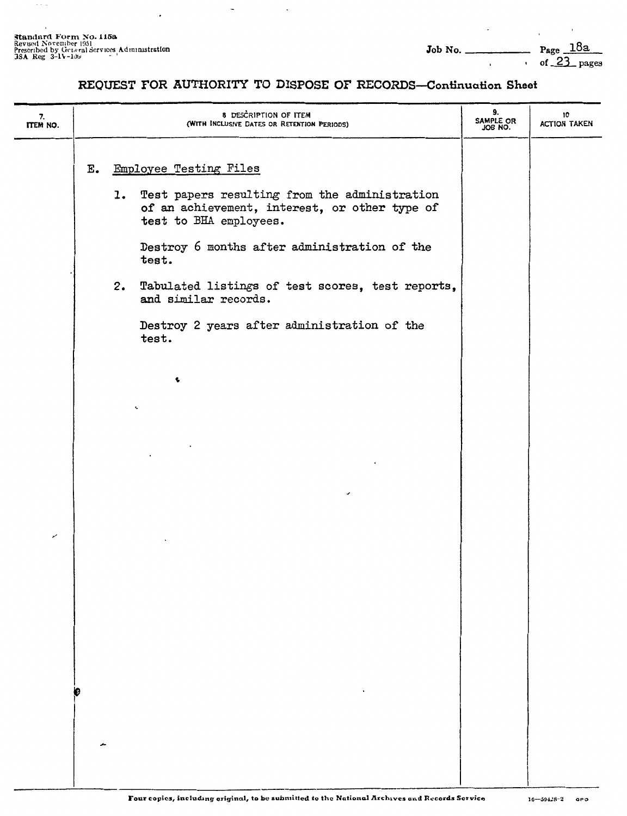$\sim$   $\sim$   $\sim$ 

 $\ddot{\phantom{a}}$ 

 $\mathbf{r}$ 

#### **REQUEST FOR AUTHORITY TO DISPOSE OF RECORDS-Continuation Sheet**

 $\overline{a}$ 

 $\cdot$ 

| 7.<br>ITEM NO. |               | 8 DESCRIPTION OF ITEM<br>(WITH INCLUSIVE DATES OR RETENTION PERIODS)                                                                                                                                  | 9.<br>SAMPLE OR<br>JOB NO. | 10<br><b>ACTION TAKEN</b> |
|----------------|---------------|-------------------------------------------------------------------------------------------------------------------------------------------------------------------------------------------------------|----------------------------|---------------------------|
|                | $E_{\bullet}$ | Employee Testing Files<br>1. Test papers resulting from the administration<br>of an achievement, interest, or other type of<br>test to BHA employees.<br>Destroy 6 months after administration of the |                            |                           |
|                |               | test.<br>2. Tabulated listings of test scores, test reports,<br>and similar records.<br>Destroy 2 years after administration of the<br>test.                                                          |                            |                           |
|                |               | ¢<br>ĸ,                                                                                                                                                                                               |                            |                           |
|                |               |                                                                                                                                                                                                       |                            |                           |
| ↙              |               |                                                                                                                                                                                                       |                            |                           |
|                |               |                                                                                                                                                                                                       |                            |                           |
|                |               |                                                                                                                                                                                                       |                            |                           |
|                |               |                                                                                                                                                                                                       |                            |                           |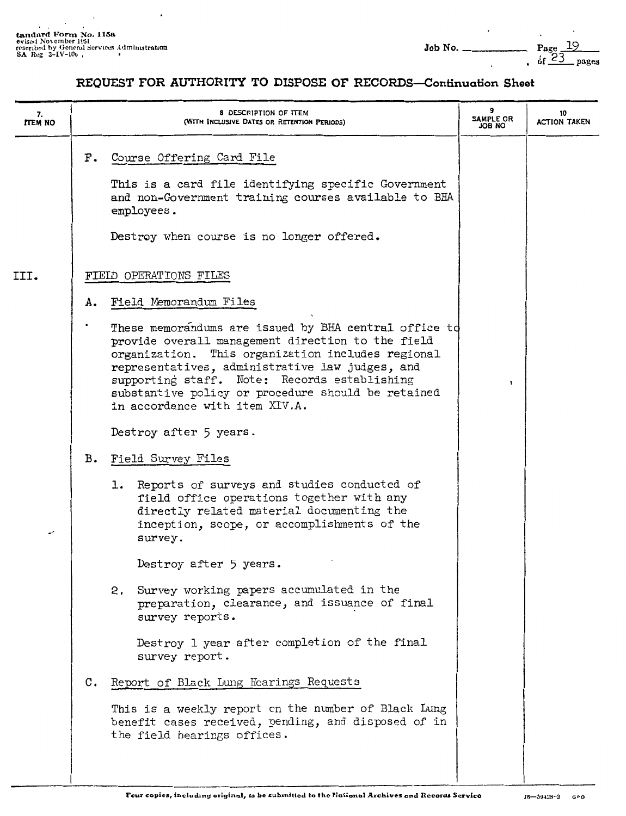$\cdot$ 

| 7.<br><b>ITEM NO</b> |                | 8 DESCRIPTION OF ITEM<br>(WITH INCLUSIVE DATES OR RETENTION PERIODS)                                                                                                                                                                                                                                                                                       | SAMPLE OR<br>ON BOL | 10<br><b>ACTION TAKEN</b> |
|----------------------|----------------|------------------------------------------------------------------------------------------------------------------------------------------------------------------------------------------------------------------------------------------------------------------------------------------------------------------------------------------------------------|---------------------|---------------------------|
|                      | F.             | Course Offering Card File<br>This is a card file identifying specific Government<br>and non-Government training courses available to BHA<br>employees.<br>Destroy when course is no longer offered.                                                                                                                                                        |                     |                           |
| III.                 |                | FIELD OPERATIONS FILES                                                                                                                                                                                                                                                                                                                                     |                     |                           |
|                      | Α.             | Field Memorandum Files                                                                                                                                                                                                                                                                                                                                     |                     |                           |
|                      |                | These memorandums are issued by BHA central office to<br>provide overall management direction to the field<br>organization. This organization includes regional<br>representatives, administrative law judges, and<br>supporting staff. Note: Records establishing<br>substantive policy or procedure should be retained<br>in accordance with item XIV.A. |                     |                           |
|                      |                | Destroy after 5 years.                                                                                                                                                                                                                                                                                                                                     |                     |                           |
|                      | в.             | Field Survey Files                                                                                                                                                                                                                                                                                                                                         |                     |                           |
| ر                    |                | Reports of surveys and studies conducted of<br>1.<br>field office operations together with any<br>directly related material documenting the<br>inception, scope, or accomplishments of the<br>survey.                                                                                                                                                      |                     |                           |
|                      |                | Destroy after 5 years.                                                                                                                                                                                                                                                                                                                                     |                     |                           |
|                      |                | 2. Survey working papers accumulated in the<br>preparation, clearance, and issuance of final<br>survey reports.                                                                                                                                                                                                                                            |                     |                           |
|                      |                | Destroy 1 year after completion of the final<br>survey report.                                                                                                                                                                                                                                                                                             |                     |                           |
|                      | $\mathbf{c}$ . | Report of Black Lung Hearings Requests                                                                                                                                                                                                                                                                                                                     |                     |                           |
|                      |                | This is a weekly report on the number of Black Lung<br>benefit cases received, pending, and disposed of in<br>the field hearings offices.                                                                                                                                                                                                                  |                     |                           |
|                      |                |                                                                                                                                                                                                                                                                                                                                                            |                     |                           |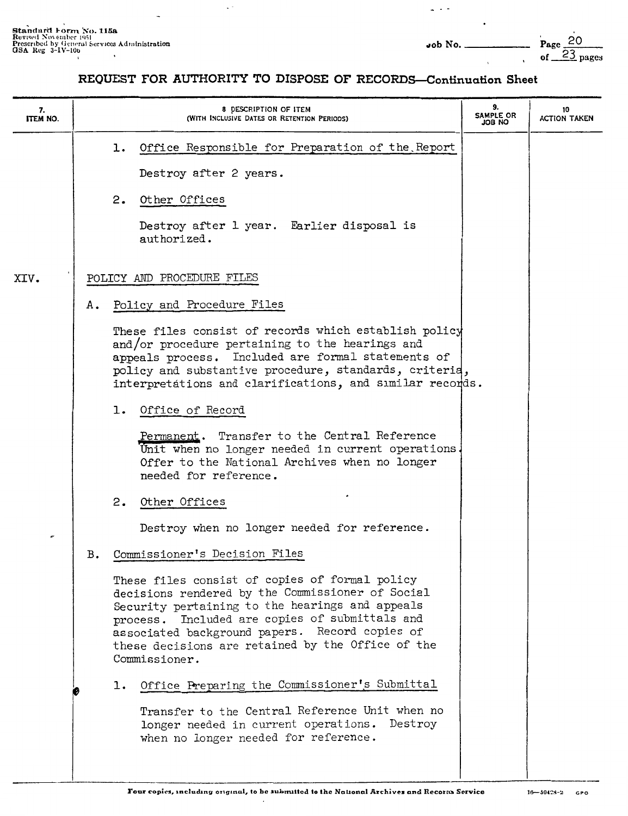$\omega \rightarrow \pi \pi$ 

#### REQUEST FOR AUTHORITY TO DISPOSE OF RECORDS-Continuation Sheet

 $\mathbb{R}^2$ 

| 7.<br>ITEM NO. |    | 8 DESCRIPTION OF ITEM<br>(WITH INCLUSIVE DATES OR RETENTION PERIODS)                                                                                                                                                                                                                                                            | 9.<br>SAMPLE OR<br>ON 8OL | 10<br><b>ACTION TAKEN</b> |
|----------------|----|---------------------------------------------------------------------------------------------------------------------------------------------------------------------------------------------------------------------------------------------------------------------------------------------------------------------------------|---------------------------|---------------------------|
|                |    | 1. Office Responsible for Preparation of the Report                                                                                                                                                                                                                                                                             |                           |                           |
|                |    | Destroy after 2 years.                                                                                                                                                                                                                                                                                                          |                           |                           |
|                |    | 2.<br>Other Offices                                                                                                                                                                                                                                                                                                             |                           |                           |
|                |    | Destroy after 1 year. Earlier disposal is<br>authorized.                                                                                                                                                                                                                                                                        |                           |                           |
| XIV.           |    | POLICY AND PROCEDURE FILES                                                                                                                                                                                                                                                                                                      |                           |                           |
|                | Α. | Policy and Procedure Files                                                                                                                                                                                                                                                                                                      |                           |                           |
|                |    | These files consist of records which establish policy<br>and/or procedure pertaining to the hearings and<br>appeals process. Included are formal statements of<br>policy and substantive procedure, standards, criteria,<br>interpretátions and clarifications, and similar records.                                            |                           |                           |
|                |    | 1. Office of Record                                                                                                                                                                                                                                                                                                             |                           |                           |
|                |    | Permanent. Transfer to the Central Reference<br>Unit when no longer needed in current operations.<br>Offer to the National Archives when no longer<br>needed for reference.                                                                                                                                                     |                           |                           |
|                |    | 2. Other Offices                                                                                                                                                                                                                                                                                                                |                           |                           |
| ø              |    | Destroy when no longer needed for reference.                                                                                                                                                                                                                                                                                    |                           |                           |
|                | в. | Commissioner's Decision Files                                                                                                                                                                                                                                                                                                   |                           |                           |
|                |    | These files consist of copies of formal policy<br>decisions rendered by the Commissioner of Social<br>Security pertaining to the hearings and appeals<br>process. Included are copies of submittals and<br>associated background papers. Record copies of<br>these decisions are retained by the Office of the<br>Commissioner. |                           |                           |
|                |    | Office Preparing the Commissioner's Submittal<br>ı.                                                                                                                                                                                                                                                                             |                           |                           |
|                |    | Transfer to the Central Reference Unit when no<br>longer needed in current operations. Destroy<br>when no longer needed for reference.                                                                                                                                                                                          |                           |                           |

 $\cdot$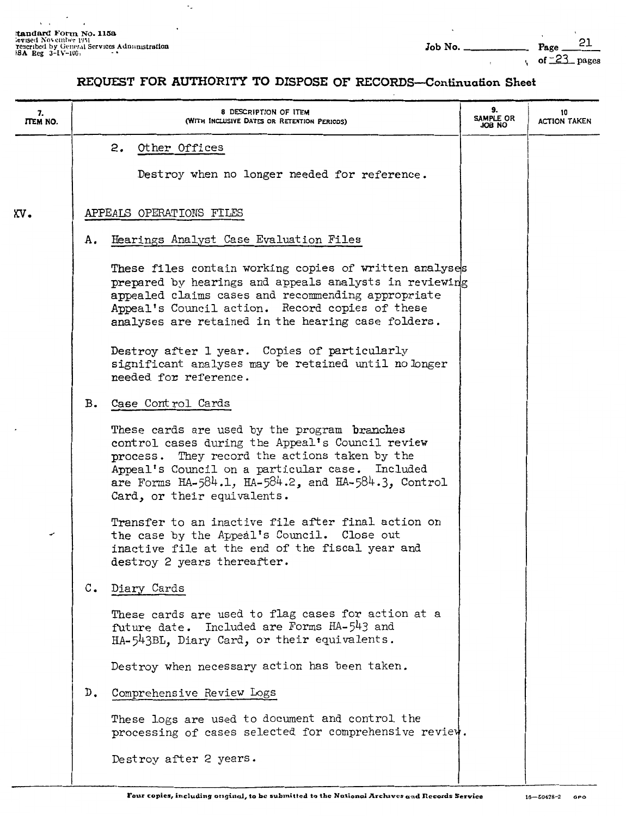$\cdot$ 

 $\mathbf{v} = \mathbf{v}$ 

 $\ddotsc$ 

| 7.<br><b>ITEM NO.</b> |                | 8 DESCRIPTION OF ITEM<br>(WITH INCLUSIVE DATES OR RETENTION PERIODS)                                                                                                                                                                                                                                | 9.<br>SAMPLE OR<br>ON BOL | 10<br><b>ACTION TAKEN</b> |
|-----------------------|----------------|-----------------------------------------------------------------------------------------------------------------------------------------------------------------------------------------------------------------------------------------------------------------------------------------------------|---------------------------|---------------------------|
|                       |                | 2. Other Offices<br>Destroy when no longer needed for reference.                                                                                                                                                                                                                                    |                           |                           |
| XV.                   |                | APPEALS OPERATIONS FILES                                                                                                                                                                                                                                                                            |                           |                           |
|                       | Α.             | Hearings Analyst Case Evaluation Files                                                                                                                                                                                                                                                              |                           |                           |
|                       |                | These files contain working copies of written analyses<br>prepared by hearings and appeals analysts in reviewing<br>appealed claims cases and recommending appropriate<br>Appeal's Council action. Record copies of these<br>analyses are retained in the hearing case folders.                     |                           |                           |
|                       |                | Destroy after 1 year. Copies of particularly<br>significant analyses may be retained until no longer<br>needed for reference.                                                                                                                                                                       |                           |                           |
|                       | в.             | Case Control Cards                                                                                                                                                                                                                                                                                  |                           |                           |
|                       |                | These cards are used by the program branches<br>control cases during the Appeal's Council review<br>process. They record the actions taken by the<br>Appeal's Council on a particular case. Included<br>are Forms $HA-584.1$ , $HA-584.2$ , and $HA-584.3$ , Control<br>Card, or their equivalents. |                           |                           |
| v                     |                | Transfer to an inactive file after final action on<br>the case by the Appeal's Council. Close out<br>inactive file at the end of the fiscal year and<br>destroy 2 years thereafter.                                                                                                                 |                           |                           |
|                       | $\mathbb{C}$ . | Diary Cards                                                                                                                                                                                                                                                                                         |                           |                           |
|                       |                | These cards are used to flag cases for action at a<br>future date. Included are Forms HA-543 and<br>HA-543BL, Diary Card, or their equivalents.                                                                                                                                                     |                           |                           |
|                       |                | Destroy when necessary action has been taken.                                                                                                                                                                                                                                                       |                           |                           |
|                       | D.             | Comprehensive Review Logs                                                                                                                                                                                                                                                                           |                           |                           |
|                       |                | These logs are used to document and control the<br>processing of cases selected for comprehensive review.                                                                                                                                                                                           |                           |                           |
|                       |                | Destroy after 2 years.                                                                                                                                                                                                                                                                              |                           |                           |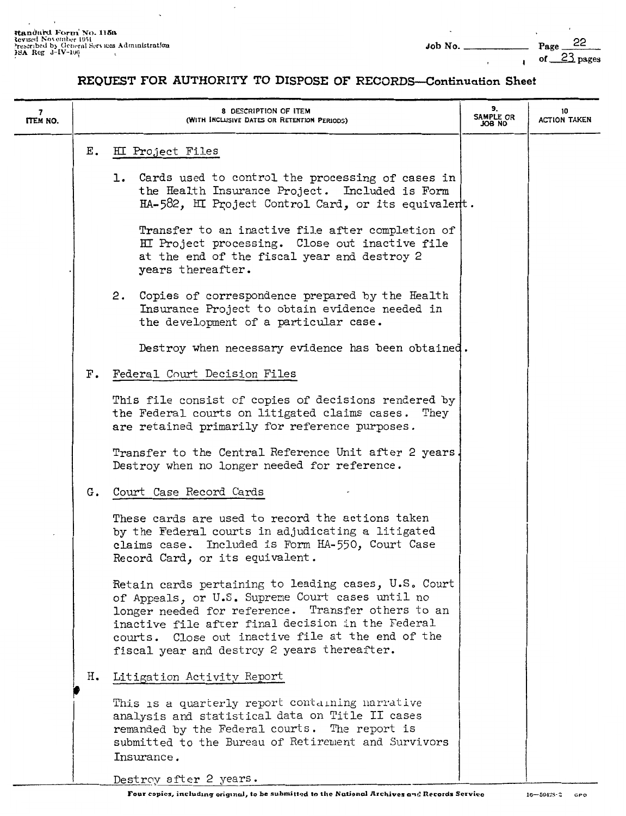÷,

#### **REQUEST FOR AUTHORITY TO DISPOSE OF RECORDS-Continuation Sheet**

J.

| 7<br>ITEM NO. |       | 8 DESCRIPTION OF ITEM<br>(WITH INCLUSIVE DATES OR RETENTION PERIODS)                                                                                                                                                                                                                                                    | 9.<br>SAMPLE OR<br>ON 8OL | 10<br><b>ACTION TAKEN</b> |
|---------------|-------|-------------------------------------------------------------------------------------------------------------------------------------------------------------------------------------------------------------------------------------------------------------------------------------------------------------------------|---------------------------|---------------------------|
|               | Ε.    | HI Project Files                                                                                                                                                                                                                                                                                                        |                           |                           |
|               |       | 1. Cards used to control the processing of cases in<br>the Health Insurance Project. Included is Form<br>HA-582, HI Project Control Card, or its equivalent.                                                                                                                                                            |                           |                           |
|               |       | Transfer to an inactive file after completion of<br>HI Project processing. Close out inactive file<br>at the end of the fiscal year and destroy 2<br>years thereafter.                                                                                                                                                  |                           |                           |
|               |       | 2. Copies of correspondence prepared by the Health<br>Insurance Project to obtain evidence needed in<br>the development of a particular case.                                                                                                                                                                           |                           |                           |
|               |       | Destroy when necessary evidence has been obtained.                                                                                                                                                                                                                                                                      |                           |                           |
|               | $F$ . | Federal Court Decision Files                                                                                                                                                                                                                                                                                            |                           |                           |
|               |       | This file consist of copies of decisions rendered by<br>the Federal courts on litigated claims cases. They<br>are retained primarily for reference purposes.                                                                                                                                                            |                           |                           |
|               |       | Transfer to the Central Reference Unit after 2 years.<br>Destroy when no longer needed for reference.                                                                                                                                                                                                                   |                           |                           |
|               | G.    | Court Case Record Cards                                                                                                                                                                                                                                                                                                 |                           |                           |
|               |       | These cards are used to record the actions taken<br>by the Federal courts in adjudicating a litigated<br>claims case. Included is Form HA-550, Court Case<br>Record Card, or its equivalent.                                                                                                                            |                           |                           |
|               |       | Retain cards pertaining to leading cases, U.S. Court<br>of Appeals, or U.S. Supreme Court cases until no<br>longer needed for reference. Transfer others to an<br>inactive file after final decision in the Federal<br>courts. Close out inactive file at the end of the<br>fiscal year and destroy 2 years thereafter. |                           |                           |
|               | н.    | Litigation Activity Report                                                                                                                                                                                                                                                                                              |                           |                           |
|               |       | This is a quarterly report containing narrative<br>analysis and statistical data on Title II cases<br>remanded by the Federal courts. The report is<br>submitted to the Bureau of Retirement and Survivors<br>Insurance.                                                                                                |                           |                           |
|               |       | Destroy after 2 years.                                                                                                                                                                                                                                                                                                  |                           |                           |